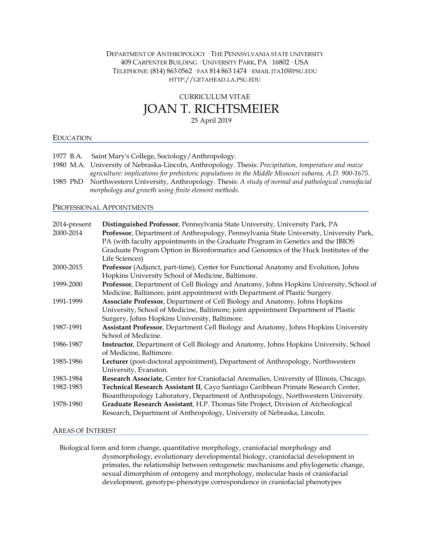# DEPARTMENT OF ANTHROPOLOGY · THE PENNSYLVANIA STATE UNIVERSITY 409 CARPENTER BUILDING · UNIVERSITY PARK, PA · 16802 · USA TELEPHONE: (814) 863 0562 · FAX 814 863 1474 · EMAIL JTA10@PSU.EDU HTTP://GETAHEAD.LA.PSU.EDU

# CURRICULUM VITAE JOAN T. RICHTSMEIER

25 April 2019

# EDUCATION

- 1977 B.A. Saint Mary's College, Sociology/Anthropology.
- 1980 M.A. University of Nebraska-Lincoln, Anthropology. Thesis: *Precipitation, temperature and maize agriculture: implications for prehistoric populations in the Middle Missouri subarea, A.D. 900-1675.*
- 1985 PhD Northwestern University, Anthropology. Thesis: *A study of normal and pathological craniofacial morphology and growth using finite element methods.*

## PROFESSIONAL APPOINTMENTS

| 2014-present | Distinguished Professor, Pennsylvania State University, University Park, PA                  |
|--------------|----------------------------------------------------------------------------------------------|
| 2000-2014    | Professor, Department of Anthropology, Pennsylvania State University, University Park,       |
|              | PA (with faculty appointments in the Graduate Program in Genetics and the IBIOS              |
|              | Graduate Program Option in Bioinformatics and Genomics of the Huck Institutes of the         |
|              | Life Sciences)                                                                               |
| 2000-2015    | Professor (Adjunct, part-time), Center for Functional Anatomy and Evolution, Johns           |
|              | Hopkins University School of Medicine, Baltimore.                                            |
| 1999-2000    | Professor, Department of Cell Biology and Anatomy, Johns Hopkins University, School of       |
|              | Medicine, Baltimore, joint appointment with Department of Plastic Surgery.                   |
| 1991-1999    | Associate Professor, Department of Cell Biology and Anatomy, Johns Hopkins                   |
|              | University, School of Medicine, Baltimore; joint appointment Department of Plastic           |
|              | Surgery, Johns Hopkins University, Baltimore.                                                |
| 1987-1991    | Assistant Professor, Department Cell Biology and Anatomy, Johns Hopkins University           |
|              | School of Medicine.                                                                          |
| 1986-1987    | <b>Instructor</b> , Department of Cell Biology and Anatomy, Johns Hopkins University, School |
|              | of Medicine, Baltimore.                                                                      |
| 1985-1986    | Lecturer (post-doctoral appointment), Department of Anthropology, Northwestern               |
|              | University, Evanston.                                                                        |
| 1983-1984    | Research Associate, Center for Craniofacial Anomalies, University of Illinois, Chicago.      |
| 1982-1983    | Technical Research Assistant II, Cayo Santiago Caribbean Primate Research Center,            |
|              | Bioanthropology Laboratory, Department of Anthropology, Northwestern University.             |
| 1978-1980    | Graduate Research Assistant, H.P. Thomas Site Project, Division of Archeological             |
|              | Research, Department of Anthropology, University of Nebraska, Lincoln.                       |
|              |                                                                                              |

# AREAS OF INTEREST

 Biological form and form change, quantitative morphology, craniofacial morphology and dysmorphology, evolutionary developmental biology, craniofacial development in primates, the relationship between ontogenetic mechanisms and phylogenetic change, sexual dimorphism of ontogeny and morphology, molecular basis of craniofacial development, genotype-phenotype correspondence in craniofacial phenotypes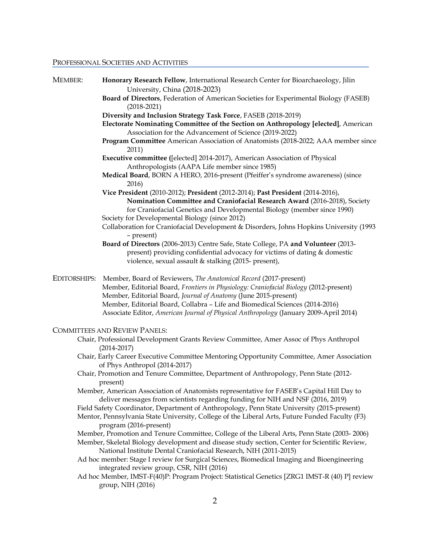#### PROFESSIONAL SOCIETIES AND ACTIVITIES

| MEMBER:      | Honorary Research Fellow, International Research Center for Bioarchaeology, Jilin                                                            |
|--------------|----------------------------------------------------------------------------------------------------------------------------------------------|
|              | University, China (2018-2023)                                                                                                                |
|              | Board of Directors, Federation of American Societies for Experimental Biology (FASEB)<br>$(2018 - 2021)$                                     |
|              | Diversity and Inclusion Strategy Task Force, FASEB (2018-2019)                                                                               |
|              | Electorate Nominating Committee of the Section on Anthropology [elected], American<br>Association for the Advancement of Science (2019-2022) |
|              | Program Committee American Association of Anatomists (2018-2022; AAA member since<br>2011)                                                   |
|              | Executive committee ([elected] 2014-2017), American Association of Physical<br>Anthropologists (AAPA Life member since 1985)                 |
|              | Medical Board, BORN A HERO, 2016-present (Pfeiffer's syndrome awareness) (since<br>2016)                                                     |
|              | Vice President (2010-2012); President (2012-2014); Past President (2014-2016),                                                               |
|              | Nomination Committee and Craniofacial Research Award (2016-2018), Society                                                                    |
|              | for Craniofacial Genetics and Developmental Biology (member since 1990)                                                                      |
|              | Society for Developmental Biology (since 2012)<br>Collaboration for Craniofacial Development & Disorders, Johns Hopkins University (1993     |
|              | - present)                                                                                                                                   |
|              | Board of Directors (2006-2013) Centre Safe, State College, PA and Volunteer (2013-                                                           |
|              | present) providing confidential advocacy for victims of dating & domestic                                                                    |
|              | violence, sexual assault & stalking (2015- present),                                                                                         |
| EDITORSHIPS: | Member, Board of Reviewers, The Anatomical Record (2017-present)                                                                             |
|              | Member, Editorial Board, Frontiers in Physiology: Craniofacial Biology (2012-present)                                                        |
|              | Member, Editorial Board, Journal of Anatomy (June 2015-present)                                                                              |
|              | Member, Editorial Board, Collabra - Life and Biomedical Sciences (2014-2016)                                                                 |
|              | Associate Editor, American Journal of Physical Anthropology (January 2009-April 2014)                                                        |
|              | <b>COMMITTEES AND REVIEW PANELS:</b>                                                                                                         |
|              | Chair, Professional Development Grants Review Committee, Amer Assoc of Phys Anthropol<br>$(2014 - 2017)$                                     |
|              | Chair, Early Career Executive Committee Mentoring Opportunity Committee, Amer Association<br>of Phys Anthropol (2014-2017)                   |
|              | Chair, Promotion and Tenure Committee, Department of Anthropology, Penn State (2012-                                                         |
|              | present)                                                                                                                                     |
|              | Member, American Association of Anatomists representative for FASEB's Capital Hill Day to                                                    |

deliver messages from scientists regarding funding for NIH and NSF (2016, 2019)

Field Safety Coordinator, Department of Anthropology, Penn State University (2015-present)

Mentor, Pennsylvania State University, College of the Liberal Arts, Future Funded Faculty (F3) program (2016-present)

Member, Promotion and Tenure Committee, College of the Liberal Arts, Penn State (2003- 2006)

Member, Skeletal Biology development and disease study section, Center for Scientific Review, National Institute Dental Craniofacial Research, NIH (2011-2015)

Ad hoc member: Stage I review for Surgical Sciences, Biomedical Imaging and Bioengineering integrated review group, CSR, NIH (2016)

Ad hoc Member, IMST-F(40)P: Program Project: Statistical Genetics [ZRG1 IMST-R (40) P] review group, NIH (2016)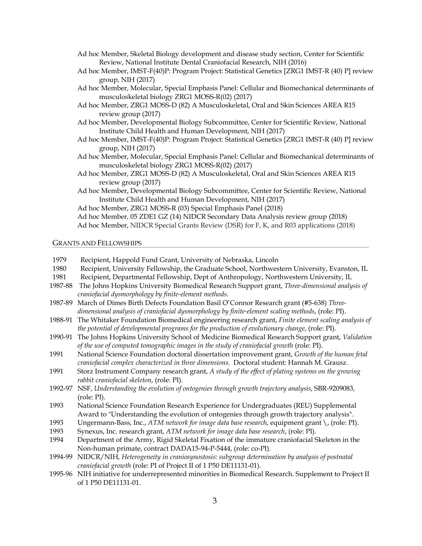- Ad hoc Member, Skeletal Biology development and disease study section, Center for Scientific Review, National Institute Dental Craniofacial Research, NIH (2016)
- Ad hoc Member, IMST-F(40)P: Program Project: Statistical Genetics [ZRG1 IMST-R (40) P] review group, NIH (2017)
- Ad hoc Member, Molecular, Special Emphasis Panel: Cellular and Biomechanical determinants of musculoskeletal biology ZRG1 MOSS-R(02) (2017)
- Ad hoc Member, ZRG1 MOSS-D (82) A Musculoskeletal, Oral and Skin Sciences AREA R15 review group (2017)
- Ad hoc Member, Developmental Biology Subcommittee, Center for Scientific Review, National Institute Child Health and Human Development, NIH (2017)
- Ad hoc Member, IMST-F(40)P: Program Project: Statistical Genetics [ZRG1 IMST-R (40) P] review group, NIH (2017)
- Ad hoc Member, Molecular, Special Emphasis Panel: Cellular and Biomechanical determinants of musculoskeletal biology ZRG1 MOSS-R(02) (2017)
- Ad hoc Member, ZRG1 MOSS-D (82) A Musculoskeletal, Oral and Skin Sciences AREA R15 review group (2017)
- Ad hoc Member, Developmental Biology Subcommittee, Center for Scientific Review, National Institute Child Health and Human Development, NIH (2017)

Ad hoc Member, 05 ZDE1 GZ (14) NIDCR Secondary Data Analysis review group (2018) Ad hoc Member, NIDCR Special Grants Review (DSR) for F, K, and R03 applications (2018)

## GRANTS AND FELLOWSHIPS

| 1979    | Recipient, Happold Fund Grant, University of Nebraska, Lincoln                                    |
|---------|---------------------------------------------------------------------------------------------------|
| 1980    | Recipient, University Fellowship, the Graduate School, Northwestern University, Evanston, IL      |
| 1981    | Recipient, Departmental Fellowship, Dept of Anthropology, Northwestern University, IL             |
| 1987-88 | The Johns Hopkins University Biomedical Research Support grant, Three-dimensional analysis of     |
|         | craniofacial dysmorphology by finite-element methods.                                             |
| 1987-89 | March of Dimes Birth Defects Foundation Basil O'Connor Research grant (#5-638) Three-             |
|         | dimensional analysis of craniofacial dysmorphology by finite-element scaling methods, (role: PI). |
| 1988-91 | The Whitaker Foundation Biomedical engineering research grant, Finite element scaling analysis of |
|         | the potential of developmental programs for the production of evolutionary change, (role: PI).    |
| 1990-91 | The Johns Hopkins University School of Medicine Biomedical Research Support grant, Validation     |
|         | of the use of computed tomographic images in the study of craniofacial growth (role: PI).         |
| 1991    | National Science Foundation doctoral dissertation improvement grant, Growth of the human fetal    |
|         | craniofacial complex characterized in three dimensions. Doctoral student: Hannah M. Grausz.       |
| 1991    | Storz Instrument Company research grant, A study of the effect of plating systems on the growing  |
|         | rabbit craniofacial skeleton, (role: PI).                                                         |
| 1992-97 | NSF, Understanding the evolution of ontogenies through growth trajectory analysis, SBR-9209083,   |
|         | (role: PI).                                                                                       |
| 1993    | National Science Foundation Research Experience for Undergraduates (REU) Supplemental             |
|         | Award to "Understanding the evolution of ontogenies through growth trajectory analysis".          |
| 1993    | Ungermann-Bass, Inc., ATM network for image data base research, equipment grant \, (role: PI).    |
| 1993    | Synexus, Inc. research grant, ATM network for image data base research, (role: PI).               |
| 1994    | Department of the Army, Rigid Skeletal Fixation of the immature craniofacial Skeleton in the      |
|         | Non-human primate, contract DADA15-94-P-5444, (role: co-PI).                                      |
| 1994-99 | NIDCR/NIH, Heterogeneity in craniosynostosis: subgroup determination by analysis of postnatal     |
|         | craniofacial growth (role: PI of Project II of 1 P50 DE11131-01).                                 |
| 1995-96 | NIH initiative for underrepresented minorities in Biomedical Research. Supplement to Project II   |
|         | of 1 P50 DE11131-01.                                                                              |

Ad hoc Member, ZRG1 MOSS-R (03) Special Emphasis Panel (2018)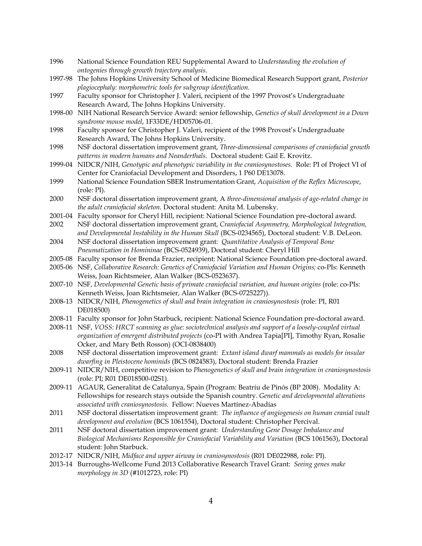1996 National Science Foundation REU Supplemental Award to *Understanding the evolution of ontogenies through growth trajectory analysis*. 1997-98 The Johns Hopkins University School of Medicine Biomedical Research Support grant, *Posterior plagiocephaly: morphometric tools for subgroup identification*. 1997 Faculty sponsor for Christopher J. Valeri, recipient of the 1997 Provost's Undergraduate Research Award, The Johns Hopkins University. 1998-00 NIH National Research Service Award: senior fellowship, *Genetics of skull development in a Down syndrome mouse model*, 1F33DE/HD05706-01. 1998 Faculty sponsor for Christopher J. Valeri, recipient of the 1998 Provost's Undergraduate Research Award, The Johns Hopkins University. 1998 NSF doctoral dissertation improvement grant, *Three-dimensional comparisons of craniofacial growth patterns in modern humans and Neanderthals*. Doctoral student: Gail E. Krovitz. 1999-04 NIDCR/NIH, *Genotypic and phenotypic variability in the craniosynostoses*. Role: PI of Project VI of Center for Craniofacial Development and Disorders, 1 P60 DE13078. 1999 National Science Foundation SBER Instrumentation Grant, *Acquisition of the Reflex Microscope*, (role: PI). 2000 NSF doctoral dissertation improvement grant, A *three-dimensional analysis of age-related change in the adult craniofacial skeleton*. Doctoral student: Anita M. Lubensky. 2001-04 Faculty sponsor for Cheryl Hill, recipient: National Science Foundation pre-doctoral award. 2002 NSF doctoral dissertation improvement grant, *Craniofacial Asymmetry, Morphological Integration, and Developmental Instability in the Human Skull* (BCS-0234565), Doctoral student: V.B. DeLeon. 2004 NSF doctoral dissertation improvement grant: *Quantitative Analysis of Temporal Bone Pneumatization in Homininae* (BCS-0524939), Doctoral student: Cheryl Hill 2005-08 Faculty sponsor for Brenda Frazier, recipient: National Science Foundation pre-doctoral award. 2005-06 NSF, *Collaborative Research: Genetics of Craniofacial Variation and Human Origins;* co-PIs: Kenneth Weiss, Joan Richtsmeier, Alan Walker (BCS-0523637). 2007-10 NSF, *Developmental Genetic basis of primate craniofacial variation, and human origins* (role: co-PIs: Kenneth Weiss, Joan Richtsmeier, Alan Walker (BCS-0725227)). 2008-13 NIDCR/NIH, *Phenogenetics of skull and brain integration in craniosynostosis* (role: PI, R01 DE018500) 2008-11 Faculty sponsor for John Starbuck, recipient: National Science Foundation pre-doctoral award. 2008-11 NSF, *VOSS: HRCT scanning as glue: sociotechnical analysis and support of a loosely-coupled virtual organization of emergent distributed projects* (co-PI with Andrea Tapia[PI], Timothy Ryan, Rosalie Ocker, and Mary Beth Rosson) (OCI-0838400) 2008 NSF doctoral dissertation improvement grant: *Extant island dwarf mammals as models for insular dwarfing in Pleistocene hominids* (BCS 0824583), Doctoral student: Brenda Frazier 2009-11 NIDCR/NIH, competitive revision to *Phenogenetics of skull and brain integration in craniosynostosis*  (role: PI; R01 DE018500-02S1). 2009-11 AGAUR, Generalitat de Catalunya, Spain (Program: Beatriu de Pinós (BP 2008). Modality A: Fellowships for research stays outside the Spanish country. *Genetic and developmental alterations associated with craniosynostosis*. Fellow: Nueves Martínez-Abadías 2011 NSF doctoral dissertation improvement grant: *The influence of angiogenesis on human cranial vault development and evolution* (BCS 1061554), Doctoral student: Christopher Percival. 2011 NSF doctoral dissertation improvement grant: *Understanding Gene Dosage Imbalance and Biological Mechanisms Responsible for Craniofacial Variability and Variation* (BCS 1061563), Doctoral student: John Starbuck. 2012-17 NIDCR/NIH, *Midface and upper airway in craniosynostosis* (R01 DE022988, role: PI). 2013-14 Burroughs-Wellcome Fund 2013 Collaborative Research Travel Grant: *Seeing genes make morphology in 3D* (#1012723, role: PI)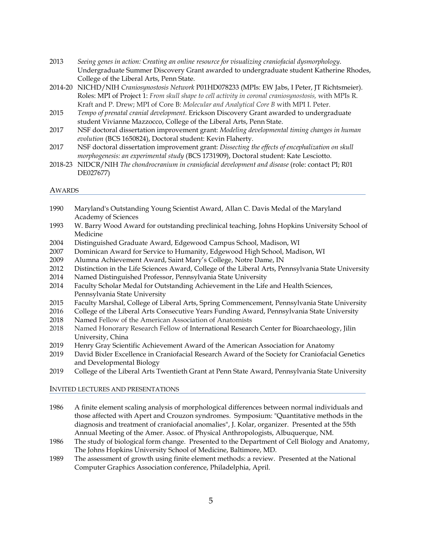| 2013 | Seeing genes in action: Creating an online resource for visualizing craniofacial dysmorphology. |
|------|-------------------------------------------------------------------------------------------------|
|      | Undergraduate Summer Discovery Grant awarded to undergraduate student Katherine Rhodes,         |
|      | College of the Liberal Arts, Penn State.                                                        |

- 2014-20 NICHD/NIH *Craniosynostosis Network* P01HD078233 (MPIs: EW Jabs, I Peter, JT Richtsmeier). Roles: MPI of Project 1: *From skull shape to cell activity in coronal craniosynostosis,* with MPIs R. Kraft and P. Drew; MPI of Core B: *Molecular and Analytical Core B* with MPI I. Peter.
- 2015 *Tempo of prenatal cranial development.* Erickson Discovery Grant awarded to undergraduate student Vivianne Mazzocco, College of the Liberal Arts, Penn State.
- 2017 NSF doctoral dissertation improvement grant: *Modeling developmental timing changes in human evolution* (BCS 1650824), Doctoral student: Kevin Flaherty.
- 2017 NSF doctoral dissertation improvement grant: *Dissecting the effects of encephalization on skull morphogenesis: an experimental study* (BCS 1731909), Doctoral student: Kate Lesciotto.
- 2018-23 NIDCR/NIH *The chondrocranium in craniofacial development and disease* (role: contact PI; R01 DE027677)

## AWARDS

- 1990 Maryland's Outstanding Young Scientist Award, Allan C. Davis Medal of the Maryland Academy of Sciences
- 1993 W. Barry Wood Award for outstanding preclinical teaching, Johns Hopkins University School of Medicine
- 2004 Distinguished Graduate Award, Edgewood Campus School, Madison, WI
- 2007 Dominican Award for Service to Humanity, Edgewood High School, Madison, WI
- 2009 Alumna Achievement Award, Saint Mary's College, Notre Dame, IN
- 2012 Distinction in the Life Sciences Award, College of the Liberal Arts, Pennsylvania State University
- 2014 Named Distinguished Professor, Pennsylvania State University
- 2014 Faculty Scholar Medal for Outstanding Achievement in the Life and Health Sciences, Pennsylvania State University
- 2015 Faculty Marshal, College of Liberal Arts, Spring Commencement, Pennsylvania State University
- 2016 College of the Liberal Arts Consecutive Years Funding Award, Pennsylvania State University
- 2018 Named Fellow of the American Association of Anatomists
- 2018 Named Honorary Research Fellow of International Research Center for Bioarchaeology, Jilin University, China
- 2019 Henry Gray Scientific Achievement Award of the American Association for Anatomy
- 2019 David Bixler Excellence in Craniofacial Research Award of the Society for Craniofacial Genetics and Developmental Biology
- 2019 College of the Liberal Arts Twentieth Grant at Penn State Award, Pennsylvania State University

## INVITED LECTURES AND PRESENTATIONS

- 1986 A finite element scaling analysis of morphological differences between normal individuals and those affected with Apert and Crouzon syndromes. Symposium: "Quantitative methods in the diagnosis and treatment of craniofacial anomalies", J. Kolar, organizer. Presented at the 55th Annual Meeting of the Amer. Assoc. of Physical Anthropologists, Albuquerque, NM.
- 1986 The study of biological form change. Presented to the Department of Cell Biology and Anatomy, The Johns Hopkins University School of Medicine, Baltimore, MD.
- 1989 The assessment of growth using finite element methods: a review. Presented at the National Computer Graphics Association conference, Philadelphia, April.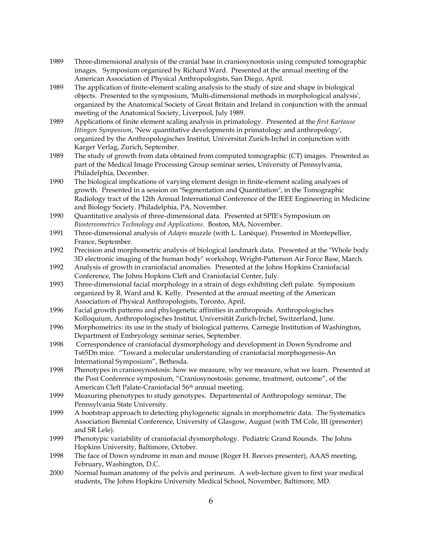- 1989 Three-dimensional analysis of the cranial base in craniosynostosis using computed tomographic images. Symposium organized by Richard Ward. Presented at the annual meeting of the American Association of Physical Anthropologists, San Diego, April.
- 1989 The application of finite-element scaling analysis to the study of size and shape in biological objects. Presented to the symposium, 'Multi-dimensional methods in morphological analysis', organized by the Anatomical Society of Great Britain and Ireland in conjunction with the annual meeting of the Anatomical Society, Liverpool, July 1989.
- 1989 Applications of finite element scaling analysis in primatology. Presented at the *first Kartause Ittingen Symposium*, 'New quantitative developments in primatology and anthropology', organized by the Anthropologisches Institut, Universitat Zurich-Irchel in conjunction with Karger Verlag, Zurich, September.
- 1989 The study of growth from data obtained from computed tomographic (CT) images. Presented as part of the Medical Image Processing Group seminar series, University of Pennsylvania, Philadelphia, December.
- 1990 The biological implications of varying element design in finite-element scaling analyses of growth. Presented in a session on "Segmentation and Quantitation", in the Tomographic Radiology tract of the 12th Annual International Conference of the IEEE Engineering in Medicine and Biology Society. Philadelphia, PA, November.
- 1990 Quantitative analysis of three-dimensional data. Presented at SPIE's Symposium on *Biostereometrics Technology and Applications*. Boston, MA, November.
- 1991 Three-dimensional analysis of *Adapis* muzzle (with L. Lanèque). Presented in Montepellier, France, September.
- 1992 Precision and morphometric analysis of biological landmark data. Presented at the "Whole body 3D electronic imaging of the human body" workshop, Wright-Patterson Air Force Base, March.
- 1992 Analysis of growth in craniofacial anomalies. Presented at the Johns Hopkins Craniofacial Conference, The Johns Hopkins Cleft and Craniofacial Center, July.
- 1993 Three-dimensional facial morphology in a strain of dogs exhibiting cleft palate. Symposium organized by R. Ward and K. Kelly. Presented at the annual meeting of the American Association of Physical Anthropologists, Toronto, April.
- 1996 Facial growth patterns and phylogenetic affinities in anthropoids. Anthropologisches Kolloquium, Anthropologisches Institut, Universität Zurich-Irchel, Switzerland, June.
- 1996 Morphometrics: its use in the study of biological patterns. Carnegie Institution of Washington, Department of Embryology seminar series, September.
- 1998 Correspondence of craniofacial dysmorphology and development in Down Syndrome and Ts65Dn mice. "Toward a molecular understanding of craniofacial morphogenesis-An International Symposium", Bethesda.
- 1998 Phenotypes in craniosynostosis: how we measure, why we measure, what we learn. Presented at the Post Conference symposium, "Craniosynostosis: genome, treatment, outcome", of the American Cleft Palate-Craniofacial 56<sup>th</sup> annual meeting.
- 1999 Measuring phenotypes to study genotypes. Departmental of Anthropology seminar, The Pennsylvania State University.
- 1999 A bootstrap approach to detecting phylogenetic signals in morphometric data. The Systematics Association Biennial Conference, University of Glasgow, August (with TM Cole, III (presenter) and SR Lele).
- 1999 Phenotypic variability of craniofacial dysmorphology. Pediatric Grand Rounds. The Johns Hopkins University, Baltimore, October.
- 1998 The face of Down syndrome in man and mouse (Roger H. Reeves presenter), AAAS meeting, February, Washington, D.C.
- 2000 Normal human anatomy of the pelvis and perineum. A web-lecture given to first year medical students, The Johns Hopkins University Medical School, November, Baltimore, MD.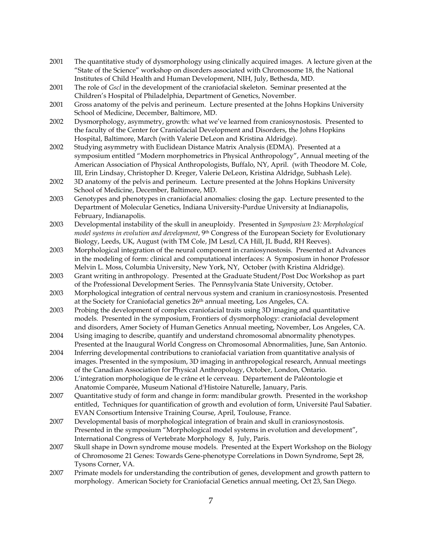- 2001 The quantitative study of dysmorphology using clinically acquired images. A lecture given at the "State of the Science" workshop on disorders associated with Chromosome 18, the National Institutes of Child Health and Human Development, NIH, July, Bethesda, MD.
- 2001 The role of *Gscl* in the development of the craniofacial skeleton. Seminar presented at the Children's Hospital of Philadelphia, Department of Genetics, November.
- 2001 Gross anatomy of the pelvis and perineum. Lecture presented at the Johns Hopkins University School of Medicine, December, Baltimore, MD.
- 2002 Dysmorphology, asymmetry, growth: what we've learned from craniosynostosis. Presented to the faculty of the Center for Craniofacial Development and Disorders, the Johns Hopkins Hospital, Baltimore, March (with Valerie DeLeon and Kristina Aldridge).
- 2002 Studying asymmetry with Euclidean Distance Matrix Analysis (EDMA). Presented at a symposium entitled "Modern morphometrics in Physical Anthropology", Annual meeting of the American Association of Physical Anthropologists, Buffalo, NY, April. (with Theodore M. Cole, III, Erin Lindsay, Christopher D. Kreger, Valerie DeLeon, Kristina Aldridge, Subhash Lele).
- 2002 3D anatomy of the pelvis and perineum. Lecture presented at the Johns Hopkins University School of Medicine, December, Baltimore, MD.
- 2003 Genotypes and phenotypes in craniofacial anomalies: closing the gap. Lecture presented to the Department of Molecular Genetics, Indiana University-Purdue University at Indianapolis, February, Indianapolis.
- 2003 Developmental instability of the skull in aneuploidy. Presented in *Symposium 23: Morphological model systems in evolution and development*, 9th Congress of the European Society for Evolutionary Biology, Leeds, UK, August (with TM Cole, JM Leszl, CA Hill, JL Budd, RH Reeves).
- 2003 Morphological integration of the neural component in craniosynostosis. Presented at Advances in the modeling of form: clinical and computational interfaces: A Symposium in honor Professor Melvin L. Moss, Columbia University, New York, NY, October (with Kristina Aldridge).
- 2003 Grant writing in anthropology. Presented at the Graduate Student/Post Doc Workshop as part of the Professional Development Series. The Pennsylvania State University, October.
- 2003 Morphological integration of central nervous system and cranium in craniosynostosis. Presented at the Society for Craniofacial genetics 26<sup>th</sup> annual meeting, Los Angeles, CA.
- 2003 Probing the development of complex craniofacial traits using 3D imaging and quantitative models. Presented in the symposium, Frontiers of dysmorphology: craniofacial development and disorders, Amer Society of Human Genetics Annual meeting, November, Los Angeles, CA.
- 2004 Using imaging to describe, quantify and understand chromosomal abnormality phenotypes. Presented at the Inaugural World Congress on Chromosomal Abnormalities, June, San Antonio.
- 2004 Inferring developmental contributions to craniofacial variation from quantitative analysis of images. Presented in the symposium, 3D imaging in anthropological research, Annual meetings of the Canadian Association for Physical Anthropology, October, London, Ontario.
- 2006 L'integration morphologique de le crâne et le cerveau. Département de Paléontologie et Anatomie Comparée, Museum National d'Histoire Naturelle, January, Paris.
- 2007 Quantitative study of form and change in form: mandibular growth. Presented in the workshop entitled, Techniques for quantification of growth and evolution of form, Université Paul Sabatier. EVAN Consortium Intensive Training Course, April, Toulouse, France.
- 2007 Developmental basis of morphological integration of brain and skull in craniosynostosis. Presented in the symposium "Morphological model systems in evolution and development", International Congress of Vertebrate Morphology 8, July, Paris.
- 2007 Skull shape in Down syndrome mouse models. Presented at the Expert Workshop on the Biology of Chromosome 21 Genes: Towards Gene-phenotype Correlations in Down Syndrome, Sept 28, Tysons Corner, VA.
- 2007 Primate models for understanding the contribution of genes, development and growth pattern to morphology. American Society for Craniofacial Genetics annual meeting, Oct 23, San Diego.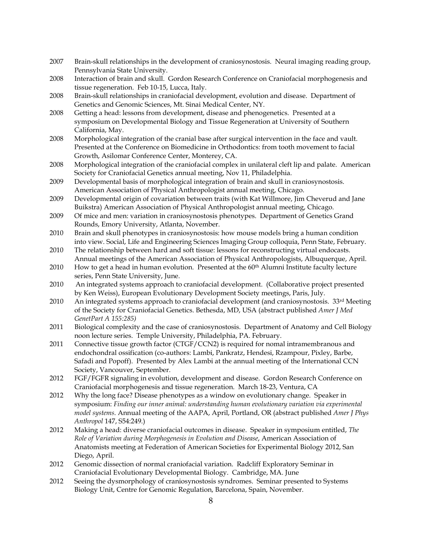- 2007 Brain-skull relationships in the development of craniosynostosis. Neural imaging reading group, Pennsylvania State University.
- 2008 Interaction of brain and skull. Gordon Research Conference on Craniofacial morphogenesis and tissue regeneration. Feb 10-15, Lucca, Italy.
- 2008 Brain-skull relationships in craniofacial development, evolution and disease. Department of Genetics and Genomic Sciences, Mt. Sinai Medical Center, NY.
- 2008 Getting a head: lessons from development, disease and phenogenetics. Presented at a symposium on Developmental Biology and Tissue Regeneration at University of Southern California, May.
- 2008 Morphological integration of the cranial base after surgical intervention in the face and vault. Presented at the Conference on Biomedicine in Orthodontics: from tooth movement to facial Growth, Asilomar Conference Center, Monterey, CA.
- 2008 Morphological integration of the craniofacial complex in unilateral cleft lip and palate. American Society for Craniofacial Genetics annual meeting, Nov 11, Philadelphia.
- 2009 Developmental basis of morphological integration of brain and skull in craniosynostosis. American Association of Physical Anthropologist annual meeting, Chicago.
- 2009 Developmental origin of covariation between traits (with Kat Willmore, Jim Cheverud and Jane Buikstra) American Association of Physical Anthropologist annual meeting, Chicago.
- 2009 Of mice and men: variation in craniosynostosis phenotypes. Department of Genetics Grand Rounds, Emory University, Atlanta, November.
- 2010 Brain and skull phenotypes in craniosynostosis: how mouse models bring a human condition into view. Social, Life and Engineering Sciences Imaging Group colloquia, Penn State, February.
- 2010 The relationship between hard and soft tissue: lessons for reconstructing virtual endocasts. Annual meetings of the American Association of Physical Anthropologists, Albuquerque, April.
- 2010 How to get a head in human evolution. Presented at the  $60<sup>th</sup>$  Alumni Institute faculty lecture series, Penn State University, June.
- 2010 An integrated systems approach to craniofacial development. (Collaborative project presented by Ken Weiss), European Evolutionary Development Society meetings, Paris, July.
- 2010 An integrated systems approach to craniofacial development (and craniosynostosis.  $33<sup>rd</sup>$  Meeting of the Society for Craniofacial Genetics. Bethesda, MD, USA (abstract published *Amer J Med GenetPart A 155:285)*
- 2011 Biological complexity and the case of craniosynostosis. Department of Anatomy and Cell Biology noon lecture series. Temple University, Philadelphia, PA. February.
- 2011 Connective tissue growth factor (CTGF/CCN2) is required for nomal intramembranous and endochondral ossification (co-authors: Lambi, Pankratz, Hendesi, Rzampour, Pixley, Barbe, Safadi and Popoff). Presented by Alex Lambi at the annual meeting of the International CCN Society, Vancouver, September.
- 2012 FGF/FGFR signaling in evolution, development and disease. Gordon Research Conference on Craniofacial morphogenesis and tissue regeneration. March 18-23, Ventura, CA
- 2012 Why the long face? Disease phenotypes as a window on evolutionary change. Speaker in symposium: *Finding our inner animal: understanding human evolutionary variation via experimental model systems*. Annual meeting of the AAPA, April, Portland, OR (abstract published *Amer J Phys Anthropol* 147, S54:249.)
- 2012 Making a head: diverse craniofacial outcomes in disease. Speaker in symposium entitled, *The Role of Variation during Morphogenesis in Evolution and Disease*, American Association of Anatomists meeting at Federation of American Societies for Experimental Biology 2012, San Diego, April.
- 2012 Genomic dissection of normal craniofacial variation. Radcliff Exploratory Seminar in Craniofacial Evolutionary Developmental Biology. Cambridge, MA. June
- 2012 Seeing the dysmorphology of craniosynostosis syndromes. Seminar presented to Systems Biology Unit, Centre for Genomic Regulation, Barcelona, Spain, November.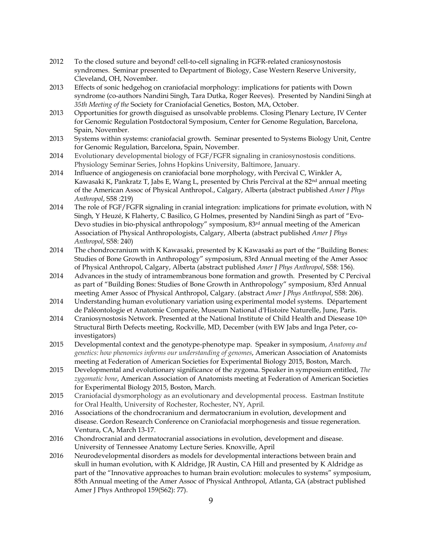- 2012 To the closed suture and beyond! cell-to-cell signaling in FGFR-related craniosynostosis syndromes. Seminar presented to Department of Biology, Case Western Reserve University, Cleveland, OH, November.
- 2013 Effects of sonic hedgehog on craniofacial morphology: implications for patients with Down syndrome (co-authors Nandini Singh, Tara Dutka, Roger Reeves). Presented by Nandini Singh at *35th Meeting of the* Society for Craniofacial Genetics, Boston, MA, October.
- 2013 Opportunities for growth disguised as unsolvable problems. Closing Plenary Lecture, IV Center for Genomic Regulation Postdoctoral Symposium, Center for Genome Regulation, Barcelona, Spain, November.
- 2013 Systems within systems: craniofacial growth. Seminar presented to Systems Biology Unit, Centre for Genomic Regulation, Barcelona, Spain, November.
- 2014 Evolutionary developmental biology of FGF/FGFR signaling in craniosynostosis conditions. Physiology Seminar Series, Johns Hopkins University, Baltimore, January.
- 2014 Influence of angiogenesis on craniofacial bone morphology, with Percival C, Winkler A, Kawasaki K, Pankratz T, Jabs E, Wang L, presented by Chris Percival at the 82<sup>nd</sup> annual meeting of the American Assoc of Physical Anthropol., Calgary, Alberta (abstract published *Amer J Phys Anthropol*, S58 :219)
- 2014 The role of FGF/FGFR signaling in cranial integration: implications for primate evolution, with N Singh, Y Heuzé, K Flaherty, C Basilico, G Holmes, presented by Nandini Singh as part of "Evo-Devo studies in bio-physical anthropology" symposium, 83rd annual meeting of the American Association of Physical Anthropologists, Calgary, Alberta (abstract published *Amer J Phys Anthropol*, S58: 240)
- 2014 The chondrocranium with K Kawasaki, presented by K Kawasaki as part of the "Building Bones: Studies of Bone Growth in Anthropology" symposium, 83rd Annual meeting of the Amer Assoc of Physical Anthropol, Calgary, Alberta (abstract published *Amer J Phys Anthropol*, S58: 156).
- 2014 Advances in the study of intramembranous bone formation and growth. Presented by C Percival as part of "Building Bones: Studies of Bone Growth in Anthropology" symposium, 83rd Annual meeting Amer Assoc of Physical Anthropol, Calgary. (abstract *Amer J Phys Anthropol*, S58: 206).
- 2014 Understanding human evolutionary variation using experimental model systems. Département de Paléontologie et Anatomie Comparée, Museum National d'Histoire Naturelle, June, Paris.
- 2014 Craniosynostosis Network. Presented at the National Institute of Child Health and Diesease 10<sup>th</sup> Structural Birth Defects meeting, Rockville, MD, December (with EW Jabs and Inga Peter, coinvestigators)
- 2015 Developmental context and the genotype-phenotype map. Speaker in symposium, *Anatomy and genetics: how phenomics informs our understanding of genomes*, American Association of Anatomists meeting at Federation of American Societies for Experimental Biology 2015, Boston, March.
- 2015 Developmental and evolutionary significance of the zygoma. Speaker in symposium entitled, *The zygomatic bone*, American Association of Anatomists meeting at Federation of American Societies for Experimental Biology 2015, Boston, March.
- 2015 Craniofacial dysmorphology as an evolutionary and developmental process. Eastman Institute for Oral Health, University of Rochester, Rochester, NY, April.
- 2016 Associations of the chondrocranium and dermatocranium in evolution, development and disease. Gordon Research Conference on Craniofacial morphogenesis and tissue regeneration. Ventura, CA, March 13-17.
- 2016 Chondrocranial and dermatocranial associations in evolution, development and disease. University of Tennessee Anatomy Lecture Series. Knoxville, April
- 2016 Neurodevelopmental disorders as models for developmental interactions between brain and skull in human evolution, with K Aldridge, JR Austin, CA Hill and presented by K Aldridge as part of the "Innovative approaches to human brain evolution: molecules to systems" symposium, 85th Annual meeting of the Amer Assoc of Physical Anthropol, Atlanta, GA (abstract published Amer J Phys Anthropol 159(S62): 77).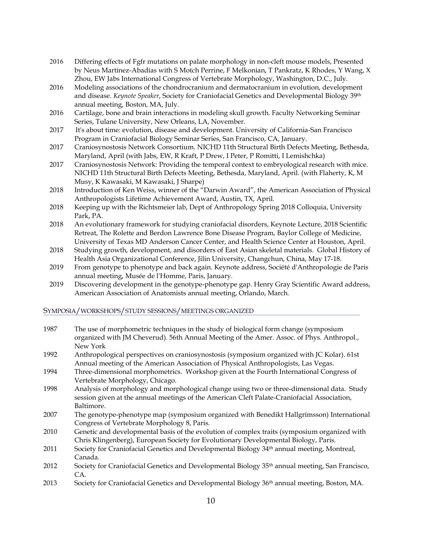- 2016 Differing effects of Fgfr mutations on palate morphology in non-cleft mouse models, Presented by Neus Martínez-Abadías with S Motch Perrine, F Melkonian, T Pankratz, K Rhodes, Y Wang, X Zhou, EW Jabs International Congress of Vertebrate Morphology, Washington, D.C., July.
- 2016 Modeling associations of the chondrocranium and dermatocranium in evolution, development and disease. *Keynote Speaker*, Society for Craniofacial Genetics and Developmental Biology 39th annual meeting, Boston, MA, July.
- 2016 Cartilage, bone and brain interactions in modeling skull growth. Faculty Networking Seminar Series, Tulane University, New Orleans, LA, November.
- 2017 It's about time: evolution, disease and development. University of California-San Francisco Program in Craniofacial Biology Seminar Series, San Francisco, CA, January.
- 2017 Craniosynostosis Network Consortium. NICHD 11th Structural Birth Defects Meeting, Bethesda, Maryland, April (with Jabs, EW, R Kraft, P Drew, I Peter, P Romitti, I Lemishchka)
- 2017 Craniosynostosis Network: Providing the temporal context to embryological research with mice. NICHD 11th Structural Birth Defects Meeting, Bethesda, Maryland, April. (with Flaherty, K, M Musy, K Kawasaki, M Kawasaki, J Sharpe)
- 2018 Introduction of Ken Weiss, winner of the "Darwin Award", the American Association of Physical Anthropologists Lifetime Achievement Award, Austin, TX, April.
- 2018 Keeping up with the Richtsmeier lab, Dept of Anthropology Spring 2018 Colloquia, University Park, PA.
- 2018 An evolutionary framework for studying craniofacial disorders, Keynote Lecture, 2018 Scientific Retreat, The Rolette and Berdon Lawrence Bone Disease Program, Baylor College of Medicine, University of Texas MD Anderson Cancer Center, and Health Science Center at Houston, April.
- 2018 Studying growth, development, and disorders of East Asian skeletal materials. Global History of Health Asia Organizational Conference, Jilin University, Changchun, China, May 17-18.
- 2019 From genotype to phenotype and back again. Keynote address, Société d'Anthropologie de Paris annual meeting, Musée de l'Homme, Paris, January.
- 2019 Discovering development in the genotype-phenotype gap. Henry Gray Scientific Award address, American Association of Anatomists annual meeting, Orlando, March.

# SYMPOSIA/WORKSHOPS/STUDY SESSIONS/MEETINGS ORGANIZED

| 1987 | The use of morphometric techniques in the study of biological form change (symposium<br>organized with JM Cheverud). 56th Annual Meeting of the Amer. Assoc. of Phys. Anthropol.,         |
|------|-------------------------------------------------------------------------------------------------------------------------------------------------------------------------------------------|
|      | New York                                                                                                                                                                                  |
| 1992 | Anthropological perspectives on craniosynostosis (symposium organized with JC Kolar). 61st<br>Annual meeting of the American Association of Physical Anthropologists, Las Vegas.          |
| 1994 | Three-dimensional morphometrics. Workshop given at the Fourth International Congress of<br>Vertebrate Morphology, Chicago.                                                                |
| 1998 | Analysis of morphology and morphological change using two or three-dimensional data. Study<br>session given at the annual meetings of the American Cleft Palate-Craniofacial Association, |
|      | Baltimore.                                                                                                                                                                                |
| 2007 | The genotype-phenotype map (symposium organized with Benedikt Hallgrímsson) International<br>Congress of Vertebrate Morphology 8, Paris.                                                  |
| 2010 | Genetic and developmental basis of the evolution of complex traits (symposium organized with<br>Chris Klingenberg), European Society for Evolutionary Developmental Biology, Paris.       |
| 2011 | Society for Craniofacial Genetics and Developmental Biology 34 <sup>th</sup> annual meeting, Montreal,<br>Canada.                                                                         |
| 2012 | Society for Craniofacial Genetics and Developmental Biology 35 <sup>th</sup> annual meeting, San Francisco,<br>CA.                                                                        |
| 2013 | Society for Craniofacial Genetics and Developmental Biology 36 <sup>th</sup> annual meeting, Boston, MA.                                                                                  |
|      |                                                                                                                                                                                           |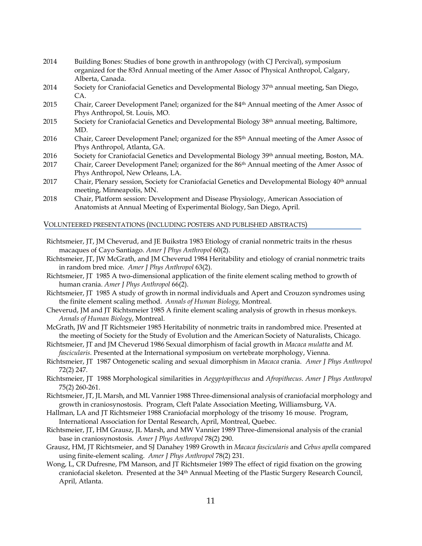- 2014 Building Bones: Studies of bone growth in anthropology (with CJ Percival), symposium organized for the 83rd Annual meeting of the Amer Assoc of Physical Anthropol, Calgary, Alberta, Canada.
- 2014 Society for Craniofacial Genetics and Developmental Biology 37th annual meeting, San Diego, CA.
- 2015 Chair, Career Development Panel; organized for the 84<sup>th</sup> Annual meeting of the Amer Assoc of Phys Anthropol, St. Louis, MO.
- 2015 Society for Craniofacial Genetics and Developmental Biology 38<sup>th</sup> annual meeting, Baltimore, MD.
- 2016 Chair, Career Development Panel; organized for the 85<sup>th</sup> Annual meeting of the Amer Assoc of Phys Anthropol, Atlanta, GA.
- 2016 Society for Craniofacial Genetics and Developmental Biology 39th annual meeting, Boston, MA.
- 2017 Chair, Career Development Panel; organized for the 86<sup>th</sup> Annual meeting of the Amer Assoc of Phys Anthropol, New Orleans, LA.
- 2017 Chair, Plenary session, Society for Craniofacial Genetics and Developmental Biology 40<sup>th</sup> annual meeting, Minneapolis, MN.
- 2018 Chair, Platform session: Development and Disease Physiology, American Association of Anatomists at Annual Meeting of Experimental Biology, San Diego, April.

## VOLUNTEERED PRESENTATIONS (INCLUDING POSTERS AND PUBLISHED ABSTRACTS)

- Richtsmeier, JT, JM Cheverud, and JE Buikstra 1983 Etiology of cranial nonmetric traits in the rhesus macaques of Cayo Santiago. *Amer J Phys Anthropol* 60(2).
- Richtsmeier, JT, JW McGrath, and JM Cheverud 1984 Heritability and etiology of cranial nonmetric traits in random bred mice. *Amer J Phys Anthropol* 63(2).
- Richtsmeier, JT 1985 A two-dimensional application of the finite element scaling method to growth of human crania. *Amer J Phys Anthropol* 66(2).
- Richtsmeier, JT 1985 A study of growth in normal individuals and Apert and Crouzon syndromes using the finite element scaling method. *Annals of Human Biology,* Montreal.
- Cheverud, JM and JT Richtsmeier 1985 A finite element scaling analysis of growth in rhesus monkeys. *Annals of Human Biology*, Montreal.
- McGrath, JW and JT Richtsmeier 1985 Heritability of nonmetric traits in randombred mice. Presented at the meeting of Society for the Study of Evolution and the American Society of Naturalists, Chicago.
- Richtsmeier, JT and JM Cheverud 1986 Sexual dimorphism of facial growth in *Macaca mulatta* and *M. fascicularis.* Presented at the International symposium on vertebrate morphology, Vienna.
- Richtsmeier, JT 1987 Ontogenetic scaling and sexual dimorphism in *Macaca* crania. *Amer J Phys Anthropol* 72(2) 247.
- Richtsmeier, JT 1988 Morphological similarities in *Aegyptopithecus* and *Afropithecus*. *Amer J Phys Anthropol* 75(2) 260-261.
- Richtsmeier, JT, JL Marsh, and ML Vannier 1988 Three-dimensional analysis of craniofacial morphology and growth in craniosynostosis. Program, Cleft Palate Association Meeting, Williamsburg, VA.
- Hallman, LA and JT Richtsmeier 1988 Craniofacial morphology of the trisomy 16 mouse. Program, International Association for Dental Research, April, Montreal, Quebec.
- Richtsmeier, JT, HM Grausz, JL Marsh, and MW Vannier 1989 Three-dimensional analysis of the cranial base in craniosynostosis. *Amer J Phys Anthropol* 78(2) 290.
- Grausz, HM, JT Richtsmeier, and SJ Danahey 1989 Growth in *Macaca fascicularis* and *Cebus apella* compared using finite-element scaling. *Amer J Phys Anthropol* 78(2) 231.
- Wong, L, CR Dufresne, PM Manson, and JT Richtsmeier 1989 The effect of rigid fixation on the growing craniofacial skeleton. Presented at the 34<sup>th</sup> Annual Meeting of the Plastic Surgery Research Council, April, Atlanta.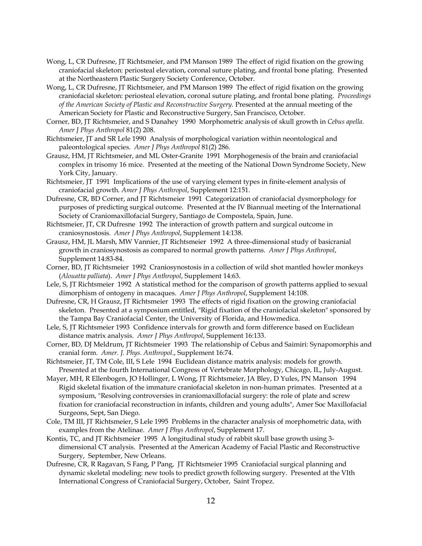- Wong, L, CR Dufresne, JT Richtsmeier, and PM Manson 1989 The effect of rigid fixation on the growing craniofacial skeleton: periosteal elevation, coronal suture plating, and frontal bone plating. Presented at the Northeastern Plastic Surgery Society Conference, October.
- Wong, L, CR Dufresne, JT Richtsmeier, and PM Manson 1989 The effect of rigid fixation on the growing craniofacial skeleton: periosteal elevation, coronal suture plating, and frontal bone plating. *Proceedings of the American Society of Plastic and Reconstructive Surgery.* Presented at the annual meeting of the American Society for Plastic and Reconstructive Surgery, San Francisco, October.
- Corner, BD, JT Richtsmeier, and S Danahey 1990 Morphometric analysis of skull growth in *Cebus apella*. *Amer J Phys Anthropol* 81(2) 208.
- Richtsmeier, JT and SR Lele 1990 Analysis of morphological variation within neontological and paleontological species. *Amer J Phys Anthropol* 81(2) 286.
- Grausz, HM, JT Richtsmeier, and ML Oster-Granite 1991 Morphogenesis of the brain and craniofacial complex in trisomy 16 mice. Presented at the meeting of the National Down Syndrome Society, New York City, January.
- Richtsmeier, JT 1991 Implications of the use of varying element types in finite-element analysis of craniofacial growth. *Amer J Phys Anthropol*, Supplement 12:151.
- Dufresne, CR, BD Corner, and JT Richtsmeier 1991 Categorization of craniofacial dysmorphology for purposes of predicting surgical outcome. Presented at the IV Biannual meeting of the International Society of Craniomaxillofacial Surgery, Santiago de Compostela, Spain, June.
- Richtsmeier, JT, CR Dufresne 1992 The interaction of growth pattern and surgical outcome in craniosynostosis. *Amer J Phys Anthropol*, Supplement 14:138.
- Grausz, HM, JL Marsh, MW Vannier, JT Richtsmeier 1992 A three-dimensional study of basicranial growth in craniosynostosis as compared to normal growth patterns. *Amer J Phys Anthropol*, Supplement 14:83-84.
- Corner, BD, JT Richtsmeier 1992 Craniosynostosis in a collection of wild shot mantled howler monkeys (*Alouatta palliata*). *Amer J Phys Anthropol*, Supplement 14:63.
- Lele, S, JT Richtsmeier 1992 A statistical method for the comparison of growth patterns applied to sexual dimorphism of ontogeny in macaques. *Amer J Phys Anthropol*, Supplement 14:108.
- Dufresne, CR, H Grausz, JT Richtsmeier 1993 The effects of rigid fixation on the growing craniofacial skeleton. Presented at a symposium entitled, "Rigid fixation of the craniofacial skeleton" sponsored by the Tampa Bay Craniofacial Center, the University of Florida, and Howmedica.
- Lele, S, JT Richtsmeier 1993 Confidence intervals for growth and form difference based on Euclidean distance matrix analysis. *Amer J Phys Anthropol*, Supplement 16:133.
- Corner, BD, DJ Meldrum, JT Richtsmeier 1993 The relationship of Cebus and Saimiri: Synapomorphis and cranial form. *Amer. J. Phys. Anthropol*., Supplement 16:74.
- Richtsmeier, JT, TM Cole, III, S Lele 1994 Euclidean distance matrix analysis: models for growth. Presented at the fourth International Congress of Vertebrate Morphology, Chicago, IL, July-August.
- Mayer, MH, R Ellenbogen, JO Hollinger, L Wong, JT Richtsmeier, JA Bley, D Yules, PN Manson 1994 Rigid skeletal fixation of the immature craniofacial skeleton in non-human primates. Presented at a symposium, "Resolving controversies in craniomaxillofacial surgery: the role of plate and screw fixation for craniofacial reconstruction in infants, children and young adults", Amer Soc Maxillofacial Surgeons, Sept, San Diego.
- Cole, TM III, JT Richtsmeier, S Lele 1995 Problems in the character analysis of morphometric data, with examples from the Atelinae. *Amer J Phys Anthropol*, Supplement 17.
- Kontis, TC, and JT Richtsmeier 1995 A longitudinal study of rabbit skull base growth using 3 dimensional CT analysis. Presented at the American Academy of Facial Plastic and Reconstructive Surgery, September, New Orleans.
- Dufresne, CR, R Ragavan, S Fang, P Pang, JT Richtsmeier 1995 Craniofacial surgical planning and dynamic skeletal modeling: new tools to predict growth following surgery. Presented at the VIth International Congress of Craniofacial Surgery, October, Saint Tropez.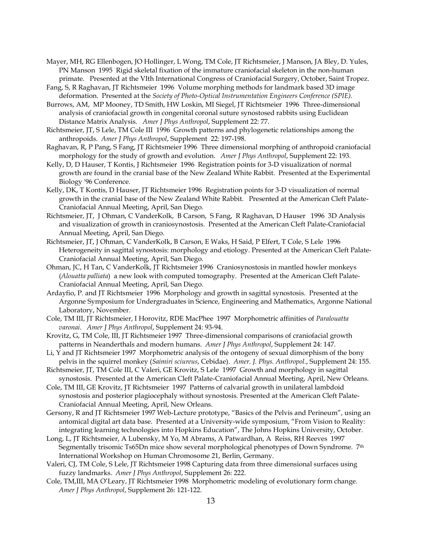- Mayer, MH, RG Ellenbogen, JO Hollinger, L Wong, TM Cole, JT Richtsmeier, J Manson, JA Bley, D. Yules, PN Manson 1995 Rigid skeletal fixation of the immature craniofacial skeleton in the non-human primate. Presented at the VIth International Congress of Craniofacial Surgery, October, Saint Tropez.
- Fang, S, R Raghavan, JT Richtsmeier 1996 Volume morphing methods for landmark based 3D image deformation. Presented at the *Society of Photo-Optical Instrumentation Engineers Conference (SPIE).*
- Burrows, AM, MP Mooney, TD Smith, HW Loskin, MI Siegel, JT Richtsmeier 1996 Three-dimensional analysis of craniofacial growth in congenital coronal suture synostosed rabbits using Euclidean Distance Matrix Analysis. *Amer J Phys Anthropol*, Supplement 22: 77.
- Richtsmeier, JT, S Lele, TM Cole III 1996 Growth patterns and phylogenetic relationships among the anthropoids. *Amer J Phys Anthropol*, Supplement 22: 197-198.
- Raghavan, R, P Pang, S Fang, JT Richtsmeier 1996 Three dimensional morphing of anthropoid craniofacial morphology for the study of growth and evolution. *Amer J Phys Anthropol*, Supplement 22: 193.
- Kelly, D, D Hauser, T Kontis, J Richtsmeier 1996 Registration points for 3-D visualization of normal growth are found in the cranial base of the New Zealand White Rabbit. Presented at the Experimental Biology '96 Conference.
- Kelly, DK, T Kontis, D Hauser, JT Richtsmeier 1996 Registration points for 3-D visualization of normal growth in the cranial base of the New Zealand White Rabbit. Presented at the American Cleft Palate-Craniofacial Annual Meeting, April, San Diego.
- Richtsmeier, JT, J Ohman, C VanderKolk, B Carson, S Fang, R Raghavan, D Hauser 1996 3D Analysis and visualization of growth in craniosynostosis. Presented at the American Cleft Palate-Craniofacial Annual Meeting, April, San Diego.
- Richtsmeier, JT, J Ohman, C VanderKolk, B Carson, E Waks, H Said, P Elfert, T Cole, S Lele 1996 Heterogeneity in sagittal synostosis: morphology and etiology. Presented at the American Cleft Palate-Craniofacial Annual Meeting, April, San Diego.
- Ohman, JC, H Tan, C VanderKolk, JT Richtsmeier 1996 Craniosynostosis in mantled howler monkeys (*Alouatta palliata*) a new look with computed tomography. Presented at the American Cleft Palate-Craniofacial Annual Meeting, April, San Diego.
- Ardayfio, P. and JT Richtsmeier 1996 Morphology and growth in sagittal synostosis. Presented at the Argonne Symposium for Undergraduates in Science, Engineering and Mathematics, Argonne National Laboratory, November.
- Cole, TM III, JT Richtsmeier, I Horovitz, RDE MacPhee 1997 Morphometric affinities of *Paralouatta varonai*. *Amer J Phys Anthropol*, Supplement 24: 93-94.
- Krovitz, G, TM Cole, III, JT Richtsmeier 1997 Three-dimensional comparisons of craniofacial growth patterns in Neanderthals and modern humans. *Amer J Phys Anthropol*, Supplement 24: 147.
- Li, Y and JT Richtsmeier 1997 Morphometric analysis of the ontogeny of sexual dimorphism of the bony pelvis in the squirrel monkey (*Saimiri sciureus*, Cebidae). *Amer. J. Phys. Anthropol.*, Supplement 24: 155.
- Richtsmeier, JT, TM Cole III, C Valeri, GE Krovitz, S Lele 1997 Growth and morphology in sagittal synostosis. Presented at the American Cleft Palate-Craniofacial Annual Meeting, April, New Orleans.
- Cole, TM III, GE Krovitz, JT Richtsmeier 1997 Patterns of calvarial growth in unilateral lambdoid synostosis and posterior plagiocephaly without synostosis. Presented at the American Cleft Palate-Craniofacial Annual Meeting, April, New Orleans.
- Gersony, R and JT Richtsmeier 1997 Web-Lecture prototype, "Basics of the Pelvis and Perineum", using an antomical digital art data base. Presented at a University-wide symposium, "From Vision to Reality: integrating learning technologies into Hopkins Education", The Johns Hopkins University, October.
- Long, L, JT Richtsmeier, A Lubensky, M Yo, M Abrams, A Patwardhan, A Reiss, RH Reeves 1997 Segmentally trisomic Ts65Dn mice show several morphological phenotypes of Down Syndrome. 7th International Workshop on Human Chromosome 21, Berlin, Germany.
- Valeri, CJ, TM Cole, S Lele, JT Richtsmeier 1998 Capturing data from three dimensional surfaces using fuzzy landmarks. *Amer J Phys Anthropol*, Supplement 26: 222.
- Cole, TM,III, MA O'Leary, JT Richtsmeier 1998 Morphometric modeling of evolutionary form change. *Amer J Phys Anthropol*, Supplement 26: 121-122.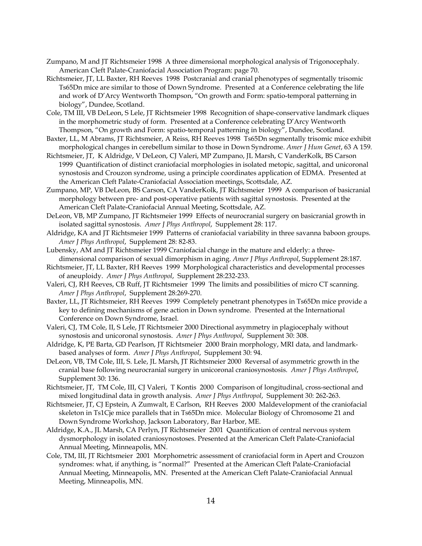- Zumpano, M and JT Richtsmeier 1998 A three dimensional morphological analysis of Trigonocephaly. American Cleft Palate-Craniofacial Association Program: page 70.
- Richtsmeier, JT, LL Baxter, RH Reeves 1998 Postcranial and cranial phenotypes of segmentally trisomic Ts65Dn mice are similar to those of Down Syndrome. Presented at a Conference celebrating the life and work of D'Arcy Wentworth Thompson, "On growth and Form: spatio-temporal patterning in biology", Dundee, Scotland.
- Cole, TM III, VB DeLeon, S Lele, JT Richtsmeier 1998 Recognition of shape-conservative landmark cliques in the morphometric study of form. Presented at a Conference celebrating D'Arcy Wentworth Thompson, "On growth and Form: spatio-temporal patterning in biology", Dundee, Scotland.
- Baxter, LL, M Abrams, JT Richtsmeier, A Reiss, RH Reeves 1998 Ts65Dn segmentally trisomic mice exhibit morphological changes in cerebellum similar to those in Down Syndrome. *Amer J Hum Genet*, 63 A 159.
- Richtsmeier, JT, K Aldridge, V DeLeon, CJ Valeri, MP Zumpano, JL Marsh, C VanderKolk, BS Carson 1999 Quantification of distinct craniofacial morphologies in isolated metopic, sagittal, and unicoronal synostosis and Crouzon syndrome, using a principle coordinates application of EDMA. Presented at the American Cleft Palate-Craniofacial Association meetings, Scottsdale, AZ.
- Zumpano, MP, VB DeLeon, BS Carson, CA VanderKolk, JT Richtsmeier 1999 A comparison of basicranial morphology between pre- and post-operative patients with sagittal synostosis. Presented at the American Cleft Palate-Craniofacial Annual Meeting, Scottsdale, AZ.

DeLeon, VB, MP Zumpano, JT Richtsmeier 1999 Effects of neurocranial surgery on basicranial growth in isolated sagittal synostosis. *Amer J Phys Anthropol*, Supplement 28: 117.

- Aldridge, KA and JT Richtsmeier 1999 Patterns of craniofacial variability in three savanna baboon groups. *Amer J Phys Anthropol*, Supplement 28: 82-83.
- Lubensky, AM and JT Richtsmeier 1999 Craniofacial change in the mature and elderly: a threedimensional comparison of sexual dimorphism in aging. *Amer J Phys Anthropol*, Supplement 28:187.
- Richtsmeier, JT, LL Baxter, RH Reeves 1999 Morphological characteristics and developmental processes of aneuploidy. *Amer J Phys Anthropol*, Supplement 28:232-233.
- Valeri, CJ, RH Reeves, CB Ruff, JT Richtsmeier 1999 The limits and possibilities of micro CT scanning. *Amer J Phys Anthropol*, Supplement 28:269-270.
- Baxter, LL, JT Richtsmeier, RH Reeves 1999 Completely penetrant phenotypes in Ts65Dn mice provide a key to defining mechanisms of gene action in Down syndrome. Presented at the International Conference on Down Syndrome, Israel.
- Valeri, CJ, TM Cole, II, S Lele, JT Richtsmeier 2000 Directional asymmetry in plagiocephaly without synostosis and unicoronal synostosis. *Amer J Phys Anthropol*, Supplement 30: 308.
- Aldridge, K, PE Barta, GD Pearlson, JT Richtsmeier 2000 Brain morphology, MRI data, and landmarkbased analyses of form. *Amer J Phys Anthropol*, Supplement 30: 94.
- DeLeon, VB, TM Cole, III, S. Lele, JL Marsh, JT Richtsmeier 2000 Reversal of asymmetric growth in the cranial base following neurocranial surgery in unicoronal craniosynostosis. *Amer J Phys Anthropol*, Supplement 30: 136.
- Richtsmeier, JT, TM Cole, III, CJ Valeri, T Kontis 2000 Comparison of longitudinal, cross-sectional and mixed longitudinal data in growth analysis. *Amer J Phys Anthropol*, Supplement 30: 262-263.
- Richtsmeier, JT, CJ Epstein, A Zumwalt, E Carlson, RH Reeves 2000 Maldevelopment of the craniofacial skeleton in Ts1Cje mice parallels that in Ts65Dn mice. Molecular Biology of Chromosome 21 and Down Syndrome Workshop, Jackson Laboratory, Bar Harbor, ME.
- Aldridge, K.A., JL Marsh, CA Perlyn, JT Richtsmeier 2001 Quantification of central nervous system dysmorphology in isolated craniosynostoses. Presented at the American Cleft Palate-Craniofacial Annual Meeting, Minneapolis, MN.
- Cole, TM, III, JT Richtsmeier 2001 Morphometric assessment of craniofacial form in Apert and Crouzon syndromes: what, if anything, is "normal?" Presented at the American Cleft Palate-Craniofacial Annual Meeting, Minneapolis, MN. Presented at the American Cleft Palate-Craniofacial Annual Meeting, Minneapolis, MN.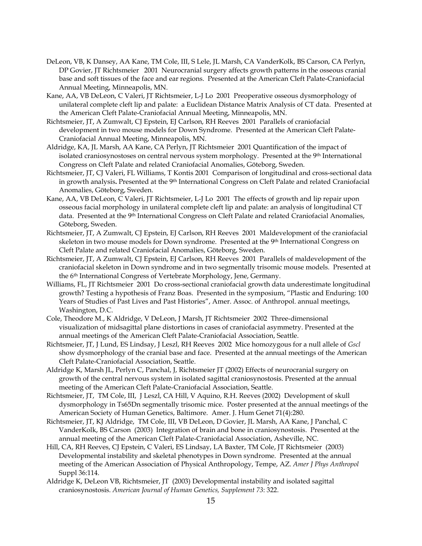- DeLeon, VB, K Dansey, AA Kane, TM Cole, III, S Lele, JL Marsh, CA VanderKolk, BS Carson, CA Perlyn, DP Govier, JT Richtsmeier 2001 Neurocranial surgery affects growth patterns in the osseous cranial base and soft tissues of the face and ear regions. Presented at the American Cleft Palate-Craniofacial Annual Meeting, Minneapolis, MN.
- Kane, AA, VB DeLeon, C Valeri, JT Richtsmeier, L-J Lo 2001 Preoperative osseous dysmorphology of unilateral complete cleft lip and palate: a Euclidean Distance Matrix Analysis of CT data. Presented at the American Cleft Palate-Craniofacial Annual Meeting, Minneapolis, MN.
- Richtsmeier, JT, A Zumwalt, CJ Epstein, EJ Carlson, RH Reeves 2001 Parallels of craniofacial development in two mouse models for Down Syndrome. Presented at the American Cleft Palate-Craniofacial Annual Meeting, Minneapolis, MN.
- Aldridge, KA, JL Marsh, AA Kane, CA Perlyn, JT Richtsmeier 2001 Quantification of the impact of isolated craniosynostoses on central nervous system morphology. Presented at the 9<sup>th</sup> International Congress on Cleft Palate and related Craniofacial Anomalies, Göteborg, Sweden.
- Richtsmeier, JT, CJ Valeri, FL Williams, T Kontis 2001 Comparison of longitudinal and cross-sectional data in growth analysis**.** Presented at the 9th International Congress on Cleft Palate and related Craniofacial Anomalies, Göteborg, Sweden.
- Kane, AA, VB DeLeon, C Valeri, JT Richtsmeier, L-J Lo 2001 The effects of growth and lip repair upon osseous facial morphology in unilateral complete cleft lip and palate: an analysis of longitudinal CT data. Presented at the 9<sup>th</sup> International Congress on Cleft Palate and related Craniofacial Anomalies, Göteborg, Sweden.
- Richtsmeier, JT, A Zumwalt, CJ Epstein, EJ Carlson, RH Reeves 2001 Maldevelopment of the craniofacial skeleton in two mouse models for Down syndrome. Presented at the 9<sup>th</sup> International Congress on Cleft Palate and related Craniofacial Anomalies, Göteborg, Sweden.
- Richtsmeier, JT, A Zumwalt, CJ Epstein, EJ Carlson, RH Reeves 2001 Parallels of maldevelopment of the craniofacial skeleton in Down syndrome and in two segmentally trisomic mouse models. Presented at the 6th International Congress of Vertebrate Morphology, Jene, Germany.
- Williams, FL, JT Richtsmeier 2001 Do cross-sectional craniofacial growth data underestimate longitudinal growth? Testing a hypothesis of Franz Boas. Presented in the symposium, "Plastic and Enduring: 100 Years of Studies of Past Lives and Past Histories", Amer. Assoc. of Anthropol. annual meetings, Washington, D.C.
- Cole, Theodore M., K Aldridge, V DeLeon, J Marsh, JT Richtsmeier 2002 Three-dimensional visualization of midsagittal plane distortions in cases of craniofacial asymmetry. Presented at the annual meetings of the American Cleft Palate-Craniofacial Association, Seattle.
- Richtsmeier, JT, J Lund, ES Lindsay, J Leszl, RH Reeves 2002 Mice homozygous for a null allele of *Gscl* show dysmorphology of the cranial base and face. Presented at the annual meetings of the American Cleft Palate-Craniofacial Association, Seattle.
- Aldridge K, Marsh JL, Perlyn C, Panchal, J, Richtsmeier JT (2002) Effects of neurocranial surgery on growth of the central nervous system in isolated sagittal craniosynostosis. Presented at the annual meeting of the American Cleft Palate-Craniofacial Association, Seattle.
- Richtsmeier, JT, TM Cole, III, J Leszl, CA Hill, V Aquino, R.H. Reeves (2002) Development of skull dysmorphology in Ts65Dn segmentally trisomic mice. Poster presented at the annual meetings of the American Society of Human Genetics, Baltimore. Amer. J. Hum Genet 71(4):280.
- Richtsmeier, JT, KJ Aldridge, TM Cole, III, VB DeLeon, D Govier, JL Marsh, AA Kane, J Panchal, C VanderKolk, BS Carson (2003) Integration of brain and bone in craniosynostosis. Presented at the annual meeting of the American Cleft Palate-Craniofacial Association, Asheville, NC.
- Hill, CA, RH Reeves, CJ Epstein, C Valeri, ES Lindsay, LA Baxter, TM Cole, JT Richtsmeier (2003) Developmental instability and skeletal phenotypes in Down syndrome. Presented at the annual meeting of the American Association of Physical Anthropology, Tempe, AZ. *Amer J Phys Anthropol*  Suppl 36:114.
- Aldridge K, DeLeon VB, Richtsmeier, JT (2003) Developmental instability and isolated sagittal craniosynostosis. *American Journal of Human Genetics, Supplement 73*: 322.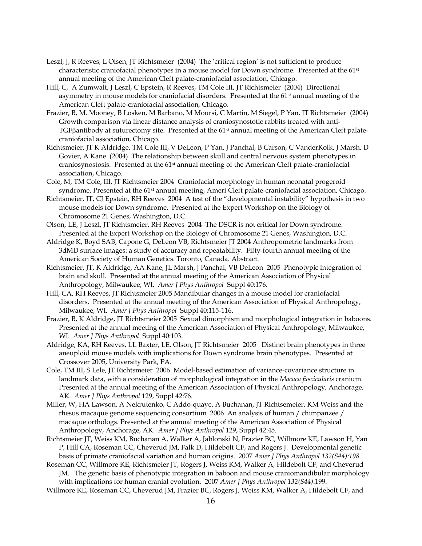- Leszl, J, R Reeves, L Olsen, JT Richtsmeier (2004) The 'critical region' is not sufficient to produce characteristic craniofacial phenotypes in a mouse model for Down syndrome. Presented at the 61st annual meeting of the American Cleft palate-craniofacial association, Chicago.
- Hill, C, A Zumwalt, J Leszl, C Epstein, R Reeves, TM Cole III, JT Richtsmeier (2004) Directional asymmetry in mouse models for craniofacial disorders. Presented at the 61<sup>st</sup> annual meeting of the American Cleft palate-craniofacial association, Chicago.
- Frazier, B, M. Mooney, B Losken, M Barbano, M Moursi, C Martin, M Siegel, P Yan, JT Richtsmeier (2004) Growth comparison via linear distance analysis of craniosynostotic rabbits treated with anti-TGFβantibody at suturectomy site. Presented at the 61st annual meeting of the American Cleft palatecraniofacial association, Chicago.
- Richtsmeier, JT K Aldridge, TM Cole III, V DeLeon, P Yan, J Panchal, B Carson, C VanderKolk, J Marsh, D Govier, A Kane (2004) The relationship between skull and central nervous system phenotypes in craniosynostosis. Presented at the 61st annual meeting of the American Cleft palate-craniofacial association, Chicago.
- Cole, M, TM Cole, III, JT Richtsmeier 2004 Craniofacial morphology in human neonatal progeroid syndrome. Presented at the 61<sup>st</sup> annual meeting, Ameri Cleft palate-craniofacial association, Chicago.
- Richtsmeier, JT, CJ Epstein, RH Reeves 2004 A test of the "developmental instability" hypothesis in two mouse models for Down syndrome. Presented at the Expert Workshop on the Biology of Chromosome 21 Genes, Washington, D.C.
- Olson, LE, J Leszl, JT Richtsmeier, RH Reeves 2004 The DSCR is not critical for Down syndrome. Presented at the Expert Workshop on the Biology of Chromosome 21 Genes, Washington, D.C.
- Aldridge K, Boyd SAB, Capone G, DeLeon VB, Richtsmeier JT 2004 Anthropometric landmarks from 3dMD surface images: a study of accuracy and repeatability. Fifty-fourth annual meeting of the American Society of Human Genetics. Toronto, Canada. Abstract.
- Richtsmeier, JT, K Aldridge, AA Kane, JL Marsh, J Panchal, VB DeLeon 2005 Phenotypic integration of brain and skull. Presented at the annual meeting of the American Association of Physical Anthropology, Milwaukee, WI. *Amer J Phys Anthropol* Suppl 40:176.
- Hill, CA, RH Reeves, JT Richtsmeier 2005 Mandibular changes in a mouse model for craniofacial disorders. Presented at the annual meeting of the American Association of Physical Anthropology, Milwaukee, WI. *Amer J Phys Anthropol* Suppl 40:115-116.
- Frazier, B, K Aldridge, JT Richtsmeier 2005 Sexual dimorphism and morphological integration in baboons. Presented at the annual meeting of the American Association of Physical Anthropology, Milwaukee, WI. *Amer J Phys Anthropol* Suppl 40:103.
- Aldridge, KA, RH Reeves, LL Baxter, LE. Olson, JT Richtsmeier 2005 Distinct brain phenotypes in three aneuploid mouse models with implications for Down syndrome brain phenotypes. Presented at Crossover 2005, University Park, PA.
- Cole, TM III, S Lele, JT Richtsmeier 2006 Model-based estimation of variance-covariance structure in landmark data, with a consideration of morphological integration in the *Macaca fascicularis* cranium. Presented at the annual meeting of the American Association of Physical Anthropology, Anchorage, AK. *Amer J Phys Anthropol* 129, Suppl 42:76.
- Miller, W, HA Lawson, A Nekrutenko, C Addo-quaye, A Buchanan, JT Richtsemeier, KM Weiss and the rhesus macaque genome sequencing consortium 2006 An analysis of human / chimpanzee / macaque orthologs. Presented at the annual meeting of the American Association of Physical Anthropology, Anchorage, AK. *Amer J Phys Anthropol* 129, Suppl 42:45.
- Richtsmeier JT, Weiss KM, Buchanan A, Walker A, Jablonski N, Frazier BC, Willmore KE, Lawson H, Yan P, Hill CA, Roseman CC, Cheverud JM, Falk D, Hildebolt CF, and Rogers J. Developmental genetic basis of primate craniofacial variation and human origins. 2007 *Amer J Phys Anthropol 132(S44):198.*
- Roseman CC, Willmore KE, Richtsmeier JT, Rogers J, Weiss KM, Walker A, Hildebolt CF, and Cheverud JM. The genetic basis of phenotypic integration in baboon and mouse craniomandibular morphology with implications for human cranial evolution. 2007 *Amer J Phys Anthropol 132(S44)*:199.
- Willmore KE, Roseman CC, Cheverud JM, Frazier BC, Rogers J, Weiss KM, Walker A, Hildebolt CF, and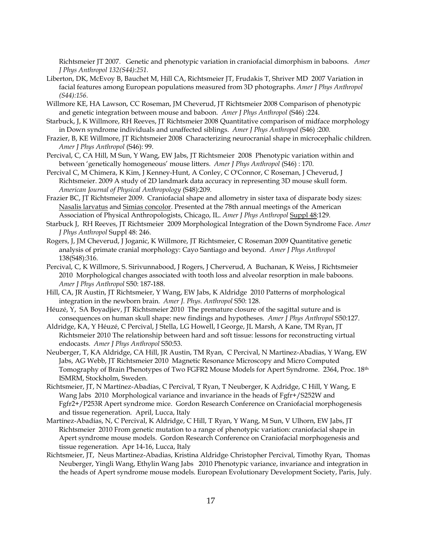Richtsmeier JT 2007. Genetic and phenotypic variation in craniofacial dimorphism in baboons. *Amer J Phys Anthropol 132(S44):251.*

- Liberton, DK, McEvoy B, Bauchet M, Hill CA, Richtsmeier JT, Frudakis T, Shriver MD 2007 Variation in facial features among European populations measured from 3D photographs. *Amer J Phys Anthropol (S44):156.*
- Willmore KE, HA Lawson, CC Roseman, JM Cheverud, JT Richtsmeier 2008 Comparison of phenotypic and genetic integration between mouse and baboon. *Amer J Phys Anthropol* (S46) :224.
- Starbuck, J, K Willmore, RH Reeves, JT Richtsmeier 2008 Quantitative comparison of midface morphology in Down syndrome individuals and unaffected siblings. *Amer J Phys Anthropol* (S46) :200.
- Frazier, B, KE Willmore, JT Richtsmeier 2008 Characterizing neurocranial shape in microcephalic children. *Amer J Phys Anthropol* (S46): 99.
- Percival, C, CA Hill, M Sun, Y Wang, EW Jabs, JT Richtsmeier 2008 Phenotypic variation within and between 'genetically homogeneous' mouse litters. *Amer J Phys Anthropol* (S46) : 170.
- Percival C, M Chimera, K Kim, J Kenney-Hunt, A Conley, C O'Connor, C Roseman, J Cheverud, J Richtsmeier. 2009 A study of 2D landmark data accuracy in representing 3D mouse skull form. *American Journal of Physical Anthropology* (S48):209.
- Frazier BC, JT Richtsmeier 2009. Craniofacial shape and allometry in sister taxa of disparate body sizes: Nasalis larvatus and Simias concolor. Presented at the 78th annual meetings of the American Association of Physical Anthropologists, Chicago, IL. *Amer J Phys Anthropol* Suppl 48:129.
- Starbuck J, RH Reeves, JT Richtsmeier 2009 Morphological Integration of the Down Syndrome Face. *Amer J Phys Anthropol* Suppl 48: 246.
- Rogers, J, JM Cheverud, J Joganic, K Willmore, JT Richtsmeier, C Roseman 2009 Quantitative genetic analysis of primate cranial morphology: Cayo Santiago and beyond. *Amer J Phys Anthropol* 138(S48):316.
- Percival, C, K Willmore, S. Sirivunnabood, J Rogers, J Cherverud, A Buchanan, K Weiss, J Richtsmeier 2010 Morphological changes associated with tooth loss and alveolar resorption in male baboons*. Amer J Phys Anthropol* S50: 187-188.
- Hill, CA, JR Austin, JT Richtsmeier, Y Wang, EW Jabs, K Aldridge 2010 Patterns of morphological integration in the newborn brain. *Amer J. Phys. Anthropol* S50: 128.
- Héuzé, Y, SA Boyadjiev, JT Richtsmeier 2010 The premature closure of the sagittal suture and is consequences on human skull shape: new findings and hypotheses. *Amer J Phys Anthropol* S50:127.
- Aldridge, KA, Y Héuzé, C Percival, J Stella, LG Howell, I George, JL Marsh, A Kane, TM Ryan, JT Richtsmeier 2010 The relationship between hard and soft tissue: lessons for reconstructing virtual endocasts. *Amer J Phys Anthropol* S50:53.
- Neuberger, T, KA Aldridge, CA Hill, JR Austin, TM Ryan, C Percival, N Martinez-Abadias, Y Wang, EW Jabs, AG Webb, JT Richtsmeier 2010 Magnetic Resonance Microscopy and Micro Computed Tomography of Brain Phenotypes of Two FGFR2 Mouse Models for Apert Syndrome. 2364, Proc. 18th ISMRM, Stockholm, Sweden.
- Richtsmeier, JT, N Martínez-Abadías, C Percival, T Ryan, T Neuberger, K A;dridge, C Hill, Y Wang, E Wang Jabs 2010 Morphological variance and invariance in the heads of Fgfr+/S252W and Fgfr2+/P253R Apert syndrome mice. Gordon Research Conference on Craniofacial morphogenesis and tissue regeneration. April, Lucca, Italy
- Martínez-Abadías, N, C Percival, K Aldridge, C Hill, T Ryan, Y Wang, M Sun, V Ulhorn, EW Jabs, JT Richtsmeier 2010 From genetic mutation to a range of phenotypic variation: craniofacial shape in Apert syndrome mouse models. Gordon Research Conference on Craniofacial morphogenesis and tissue regeneration. Apr 14-16, Lucca, Italy
- Richtsmeier, JT, Neus Martinez-Abadias, Kristina Aldridge, Christopher Percival, Timothy Ryan, Thomas Neuberger, Yingli Wang, Ethylin Wang Jabs 2010 Phenotypic variance, invariance and integration in the heads of Apert syndrome mouse models. European Evolutionary Development Society, Paris, July.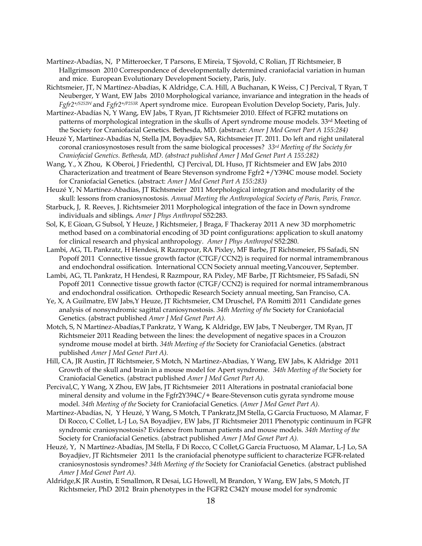- Martínez-Abadías, N, P Mitteroecker, T Parsons, E Mireia, T Sjovold, C Rolian, JT Richtsmeier, B Hallgrimsson 2010 Correspondence of developmentally determined craniofacial variation in human and mice. European Evolutionary Development Society, Paris, July.
- Richtsmeier, JT, N Martínez-Abadías, K Aldridge, C.A. Hill, A Buchanan, K Weiss, C J Percival, T Ryan, T Neuberger, Y Want, EW Jabs 2010 Morphological variance, invariance and integration in the heads of *Fgfr2+/S252W* and *Fgfr2+/P253R* Apert syndrome mice. European Evolution Develop Society, Paris, July.
- Martínez-Abadías N, Y Wang, EW Jabs, T Ryan, JT Richtsmeier 2010. Effect of FGFR2 mutations on patterns of morphological integration in the skulls of Apert syndrome mouse models. 33<sup>rd</sup> Meeting of the Society for Craniofacial Genetics. Bethesda, MD. (abstract: *Amer J Med Genet Part A 155:284)*
- Heuzé Y, Martínez-Abadías N, Stella JM, Boyadjiev SA, Richtsmeier JT. 2011. Do left and right unilateral coronal craniosynostoses result from the same biological processes? *33rd Meeting of the Society for Craniofacial Genetics. Bethesda, MD. (abstract published Amer J Med Genet Part A 155:282)*
- Wang, Y., X Zhou, K Oberoi, J Friedenthl, CJ Percival, DL Huso, JT Richtsmeier and EW Jabs 2010 Characterization and treatment of Beare Stevenson syndrome Fgfr2 +/Y394C mouse model. Society for Craniofacial Genetics. (abstract: *Amer J Med Genet Part A 155:283)*
- Heuzé Y, N Martínez-Abadías, JT Richtsmeier 2011 Morphological integration and modularity of the skull: lessons from craniosynostosis*. Annual Meeting the Anthropological Society of Paris, Paris, France.*
- Starbuck, J, R. Reeves, J. Richtsmeier 2011 Morphological integration of the face in Down syndrome individuals and siblings*. Amer J Phys Anthropol* S52:283.
- Sol, K, E Gioan, G Subsol, Y Heuze, J Richtsmeier, J Braga, F Thackeray 2011 A new 3D morphometric method based on a combinatorial encoding of 3D point configurations: application to skull anatomy for clinical research and physical anthropology. *Amer J Phys Anthropol* S52:280.
- Lambi, AG, TL Pankratz, H Hendesi, R Razmpour, RA Pixley, MF Barbe, JT Richtsmeier, FS Safadi, SN Popoff 2011 Connective tissue growth factor (CTGF/CCN2) is required for normal intramembranous and endochondral ossification. International CCN Society annual meeting,Vancouver, September.
- Lambi, AG, TL Pankratz, H Hendesi, R Razmpour, RA Pixley, MF Barbe, JT Richtsmeier, FS Safadi, SN Popoff 2011 Connective tissue growth factor (CTGF/CCN2) is required for normal intramembranous and endochondral ossification. Orthopedic Research Society annual meeting, San Franciso, CA.
- Ye, X, A Guilmatre, EW Jabs,Y Heuze, JT Richtsmeier, CM Druschel, PA Romitti 2011 Candidate genes analysis of nonsyndromic sagittal craniosynostosis. *34th Meeting of the* Society for Craniofacial Genetics. (abstract published *Amer J Med Genet Part A).*
- Motch, S, N Martínez-Abadías,T Pankratz, Y Wang, K Aldridge, EW Jabs, T Neuberger, TM Ryan, JT Richtsmeier 2011 Reading between the lines: the development of negative spaces in a Crouzon syndrome mouse model at birth. *34th Meeting of the* Society for Craniofacial Genetics. (abstract published *Amer J Med Genet Part A).*
- Hill, CA, JR Austin, JT Richtsmeier, S Motch, N Martinez-Abadias, Y Wang, EW Jabs, K Aldridge 2011 Growth of the skull and brain in a mouse model for Apert syndrome. *34th Meeting of the* Society for Craniofacial Genetics. (abstract published *Amer J Med Genet Part A).*
- Percival,C, Y Wang, X Zhou, EW Jabs, JT Richtsmeier 2011 Alterations in postnatal craniofacial bone mineral density and volume in the Fgfr2Y394C/+ Beare-Stevenson cutis gyrata syndrome mouse model. *34th Meeting of the* Society for Craniofacial Genetics. (*Amer J Med Genet Part A).*
- Martínez-Abadías, N, Y Heuzé, Y Wang, S Motch, T Pankratz,JM Stella, G García Fructuoso, M Alamar, F Di Rocco, C Collet, L-J Lo, SA Boyadjiev, EW Jabs, JT Richtsmeier 2011 Phenotypic continuum in FGFR syndromic craniosynostosis? Evidence from human patients and mouse models. *34th Meeting of the* Society for Craniofacial Genetics. (abstract published *Amer J Med Genet Part A).*
- Heuzé, Y, N Martínez-Abadías, JM Stella, F Di Rocco, C Collet,G García Fructuoso, M Alamar, L-J Lo, SA Boyadjiev, JT Richtsmeier 2011 Is the craniofacial phenotype sufficient to characterize FGFR-related craniosynostosis syndromes? *34th Meeting of the* Society for Craniofacial Genetics. (abstract published *Amer J Med Genet Part A).*
- Aldridge,K JR Austin, E Smallmon, R Desai, LG Howell, M Brandon, Y Wang, EW Jabs, S Motch, JT Richtsmeier, PhD 2012 Brain phenotypes in the FGFR2 C342Y mouse model for syndromic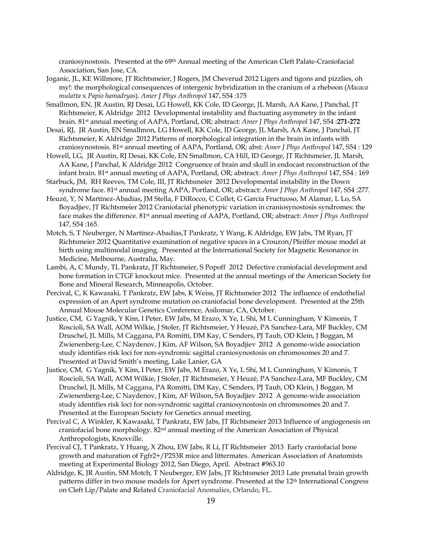craniosynostosis. Presented at the 69th Annual meeting of the American Cleft Palate-Craniofacial Association, San Jose, CA.

- Joganic, JL, KE Willmore, JT Richtsmeier, J Rogers, JM Cheverud 2012 Ligers and tigons and pizzlies, oh my!: the morphological consequences of intergenic hybridization in the cranium of a rheboon (*Macaca mulatta* x *Papio hamadryas*). *Amer J Phys Anthropol* 147, S54 :175
- Smallmon, EN, JR Austin, RJ Desai, LG Howell, KK Cole, ID George, JL Marsh, AA Kane, J Panchal, JT Richtsmeier, K Aldridge 2012 Developmental instability and fluctuating asymmetry in the infant brain. 81st annual meeting of AAPA, Portland, OR; abstract: *Amer J Phys Anthropol* 147, S54 :**271-272**
- Desai, RJ, JR Austin, EN Smallmon, LG Howell, KK Cole, ID George, JL Marsh, AA Kane, J Panchal, JT Richtsmeier, K Aldridge 2012 Patterns of morphological integration in the brain in infants with craniosynostosis. 81st annual meeting of AAPA, Portland, OR; abst: *Amer J Phys Anthropol* 147, S54 : 129
- Howell, LG, JR Austin, RJ Desai, KK Cole, EN Smallmon, CA Hill, ID George, JT Richtsmeier, JL Marsh, AA Kane, J Panchal, K Aldridge 2012 Congruence of brain and skull in endocast reconstruction of the infant brain. 81st annual meeting of AAPA, Portland, OR; abstract: *Amer J Phys Anthropol* 147, S54 : 169
- Starbuck, JM, RH Reeves, TM Cole, III, JT Richtsmeier 2012 Developmental instability in the Down syndrome face. 81st annual meeting AAPA, Portland, OR; abstract: *Amer J Phys Anthropol* 147, S54 :277.
- Heuzé, Y, N Martínez-Abadías, JM Stella, F DiRocco, C Collet, G García Fructuoso, M Alamar, L Lo, SA Boyadjiev, JT Richtsmeier 2012 Craniofacial phenotypic variation in craniosynostosis syndromes: the face makes the difference. 81st annual meeting of AAPA, Portland, OR; abstract: *Amer J Phys Anthropol* 147, S54 :165.
- Motch, S, T Neuberger, N Martínez-Abadías,T Pankratz, Y Wang, K Aldridge, EW Jabs, TM Ryan, JT Richtsmeier 2012 Quantitative examination of negative spaces in a Crouzon/Pfeiffer mouse model at birth using multimodal imaging. Presented at the International Society for Magnetic Resonance in Medicine, Melbourne, Australia, May.
- Lambi, A, C Mundy, TL Pankratz, JT Richtsmeier, S Popoff 2012 Defective craniofacial development and bone formation in CTGF knockout mice. Presented at the annual meetings of the American Society for Bone and Mineral Research, Minneapolis, October.
- Percival, C, K Kawasaki, T Pankratz, EW Jabs, K Weiss, JT Richtsmeier 2012 The influence of endothelial expression of an Apert syndrome mutation on craniofacial bone development. Presented at the 25th Annual Mouse Molecular Genetics Conference, Asilomar, CA, October.
- Justice, CM, G Yagnik, Y Kim, I Peter, EW Jabs, M Erazo, X Ye, L Shi, M L Cunningham, V Kimonis, T Roscioli, SA Wall, AOM Wilkie, J Stoler, JT Richtsmeier, Y Heuzé, PA Sanchez-Lara, MF Buckley, CM Druschel, JL Mills, M Caggana, PA Romitti, DM Kay, C Senders, PJ Taub, OD Klein, J Boggan, M Zwienenberg-Lee, C Naydenov, J Kim, AF Wilson, SA Boyadjiev 2012 A genome-wide association study identifies risk loci for non-syndromic sagittal craniosynostosis on chromosomes 20 and 7. Presented at David Smith's meeting, Lake Lanier, GA
- Justice, CM, G Yagnik, Y Kim, I Peter, EW Jabs, M Erazo, X Ye, L Shi, M L Cunningham, V Kimonis, T Roscioli, SA Wall, AOM Wilkie, J Stoler, JT Richtsmeier, Y Heuzé, PA Sanchez-Lara, MF Buckley, CM Druschel, JL Mills, M Caggana, PA Romitti, DM Kay, C Senders, PJ Taub, OD Klein, J Boggan, M Zwienenberg-Lee, C Naydenov, J Kim, AF Wilson, SA Boyadjiev 2012 A genome-wide association study identifies risk loci for non-syndromic sagittal craniosynostosis on chromosomes 20 and 7. Presented at the European Society for Genetics annual meeting.
- Percival C, A Winkler, K Kawasaki, T Pankratz, EW Jabs, JT Richtsmeier 2013 Influence of angiogenesis on craniofacial bone morphology. 82nd annual meeting of the American Association of Physical Anthropologists, Knoxville.
- Percival CJ, T Pankratz, Y Huang, X Zhou, EW Jabs, R Li, JT Richtsmeier 2013 Early craniofacial bone growth and maturation of Fgfr2+/P253R mice and littermates. American Association of Anatomists meeting at Experimental Biology 2012, San Diego, April. Abstract #963.10
- Aldridge, K, JR Austin, SM Motch, T Neuberger, EW Jabs, JT Richtsmeier 2013 Late prenatal brain growth patterns differ in two mouse models for Apert syndrome. Presented at the 12<sup>th</sup> International Congress on Cleft Lip/Palate and Related Craniofacial Anomalies, Orlando, FL.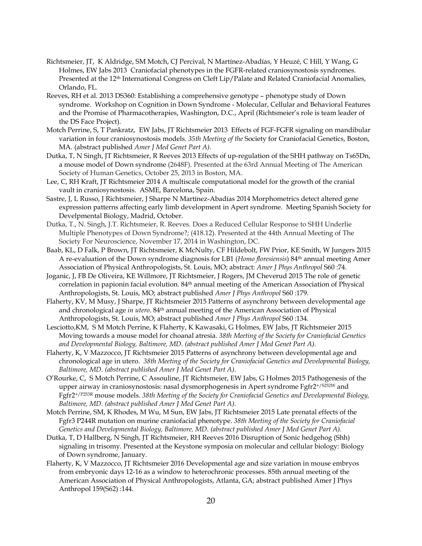- Richtsmeier, JT, K Aldridge, SM Motch, CJ Percival, N Martínez-Abadías, Y Heuzé, C Hill, Y Wang, G Holmes, EW Jabs 2013 Craniofacial phenotypes in the FGFR-related craniosynostosis syndromes. Presented at the 12<sup>th</sup> International Congress on Cleft Lip/Palate and Related Craniofacial Anomalies, Orlando, FL.
- Reeves, RH et al. 2013 DS360: Establishing a comprehensive genotype phenotype study of Down syndrome. Workshop on Cognition in Down Syndrome - Molecular, Cellular and Behavioral Features and the Promise of Pharmacotherapies, Washington, D.C., April (Richtsmeier's role is team leader of the DS Face Project).
- Motch Perrine, S, T Pankratz, EW Jabs, JT Richtsmeier 2013 Effects of FGF-FGFR signaling on mandibular variation in four craniosynostosis models. *35th Meeting of the* Society for Craniofacial Genetics, Boston, MA. (abstract published *Amer J Med Genet Part A).*
- Dutka, T, N Singh, JT Richtsmeier, R Reeves 2013 Effects of up-regulation of the SHH pathway on Ts65Dn, a mouse model of Down syndrome (2648F). Presented at the 63rd Annual Meeting of The American Society of Human Genetics, October 25, 2013 in Boston, MA.
- Lee, C, RH Kraft, JT Richtsmeier 2014 A multiscale computational model for the growth of the cranial vault in craniosynostosis. ASME, Barcelona, Spain.
- Sastre, J, L Russo, J Richtsmeier, J Sharpe N Martínez-Abadías 2014 Morphometrics detect altered gene expression patterns affecting early limb development in Apert syndrome. Meeting Spanish Society for Develpmental Biology, Madrid, October.
- Dutka, T., N. Singh, J.T. Richtsmeier, R. Reeves. Does a Reduced Cellular Response to SHH Underlie Multiple Phenotypes of Down Syndrome?; (418.12). Presented at the 44th Annual Meeting of The Society For Neuroscience, November 17, 2014 in Washington, DC.
- Baab, KL, D Falk, P Brown, JT Richtsmeier, K McNulty, CF Hildebolt, FW Prior, KE Smith, W Jungers 2015 A re-evaluation of the Down syndrome diagnosis for LB1 (*Homo floresiensis*) 84th annual meeting Amer Association of Physical Anthropologists, St. Louis, MO; abstract: *Amer J Phys Anthropol* S60 :74.
- Joganic, J, FB De Oliveira, KE Willmore, JT Richtsmeier, J Rogers, JM Cheverud 2015 The role of genetic correlation in papionin facial evolution. 84<sup>th</sup> annual meeting of the American Association of Physical Anthropologists, St. Louis, MO; abstract published *Amer J Phys Anthropol* S60 :179.
- Flaherty, KV, M Musy, J Sharpe, JT Richtsmeier 2015 Patterns of asynchrony between developmental age and chronological age *in utero*. 84th annual meeting of the American Association of Physical Anthropologists, St. Louis, MO; abstract published *Amer J Phys Anthropol* S60 :134.
- Lesciotto,KM, S M Motch Perrine, K Flaherty, K Kawasaki, G Holmes, EW Jabs, JT Richtsmeier 2015 Moving towards a mouse model for choanal atresia. *38th Meeting of the Society for Craniofacial Genetics and Developmental Biology, Baltimore, MD. (abstract published Amer J Med Genet Part A).*
- Flaherty, K, V Mazzocco, JT Richtsmeier 2015 Patterns of asynchrony between developmental age and chronological age in utero. *38th Meeting of the Society for Craniofacial Genetics and Developmental Biology, Baltimore, MD. (abstract published Amer J Med Genet Part A).*
- O'Rourke, C, S Motch Perrine, C Assouline, JT Richtsmeier, EW Jabs, G Holmes 2015 Pathogenesis of the upper airway in craniosynostosis: nasal dysmorphogenesis in Apert syndrome Fgfr2+/S252W and Fgfr2+/P253R mouse models. *38th Meeting of the Society for Craniofacial Genetics and Developmental Biology, Baltimore, MD. (abstract published Amer J Med Genet Part A).*
- Motch Perrine, SM, K Rhodes, M Wu, M Sun, EW Jabs, JT Richtsmeier 2015 Late prenatal effects of the Fgfr3 P244R mutation on murine craniofacial phenotype. *38th Meeting of the Society for Craniofacial Genetics and Developmental Biology, Baltimore, MD. (abstract published Amer J Med Genet Part A).*
- Dutka, T, D Hallberg, N Singh, JT Richtsmeier, RH Reeves 2016 Disruption of Sonic hedgehog (Shh) signaling in trisomy. Presented at the Keystone symposia on molecular and cellular biology: Biology of Down syndrome, January.
- Flaherty, K, V Mazzocco, JT Richtsmeier 2016 Developmental age and size variation in mouse embryos from embryonic days 12-16 as a window to heterochronic processes. 85th annual meeting of the American Association of Physical Anthropologists, Atlanta, GA; abstract published Amer J Phys Anthropol 159(S62) :144.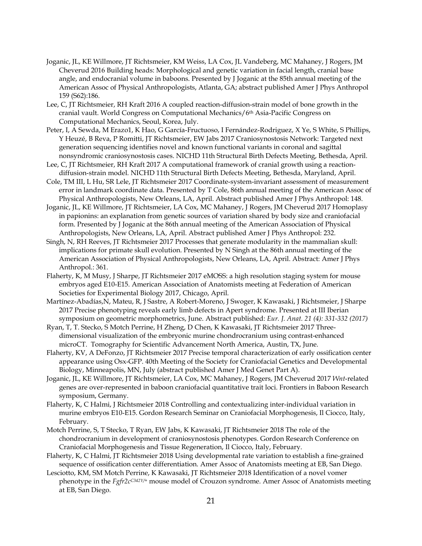- Joganic, JL, KE Willmore, JT Richtsmeier, KM Weiss, LA Cox, JL Vandeberg, MC Mahaney, J Rogers, JM Cheverud 2016 Building heads: Morphological and genetic variation in facial length, cranial base angle, and endocranial volume in baboons. Presented by J Joganic at the 85th annual meeting of the American Assoc of Physical Anthropologists, Atlanta, GA; abstract published Amer J Phys Anthropol 159 (S62):186.
- Lee, C, JT Richtsmeier, RH Kraft 2016 A coupled reaction-diffusion-strain model of bone growth in the cranial vault. World Congress on Computational Mechanics/6th Asia-Pacific Congress on Computational Mechanics, Seoul, Korea, July.
- Peter, I, A Sewda, M Erazo1, K Hao, G García-Fructuoso, I Fernández-Rodriguez, X Ye, S White, S Phillips, Y Heuzé, B Reva, P Romitti, JT Richtsmeier, EW Jabs 2017 Craniosynostosis Network: Targeted next generation sequencing identifies novel and known functional variants in coronal and sagittal nonsyndromic craniosynostosis cases. NICHD 11th Structural Birth Defects Meeting, Bethesda, April.
- Lee, C, JT Richtsmeier, RH Kraft 2017 A computational framework of cranial growth using a reactiondiffusion-strain model. NICHD 11th Structural Birth Defects Meeting, Bethesda, Maryland, April.
- Cole, TM III, L Hu, SR Lele, JT Richtsmeier 2017 Coordinate-system-invariant assessment of measurement error in landmark coordinate data. Presented by T Cole, 86th annual meeting of the American Assoc of Physical Anthropologists, New Orleans, LA, April. Abstract published Amer J Phys Anthropol: 148.
- Joganic, JL, KE Willmore, JT Richtsmeier, LA Cox, MC Mahaney, J Rogers, JM Cheverud 2017 Homoplasy in papionins: an explanation from genetic sources of variation shared by body size and craniofacial form. Presented by J Joganic at the 86th annual meeting of the American Association of Physical Anthropologists, New Orleans, LA, April. Abstract published Amer J Phys Anthropol: 232.
- Singh, N, RH Reeves, JT Richtsmeier 2017 Processes that generate modularity in the mammalian skull: implications for primate skull evolution. Presented by N Singh at the 86th annual meeting of the American Association of Physical Anthropologists, New Orleans, LA, April. Abstract: Amer J Phys Anthropol.: 361.
- Flaherty, K, M Musy, J Sharpe, JT Richtsmeier 2017 eMOSS: a high resolution staging system for mouse embryos aged E10-E15. American Association of Anatomists meeting at Federation of American Societies for Experimental Biology 2017, Chicago, April.
- Martínez-Abadías,N, Mateu, R, J Sastre, A Robert-Moreno, J Swoger, K Kawasaki, J Richtsmeier, J Sharpe 2017 Precise phenotyping reveals early limb defects in Apert syndrome. Presented at III Iberian symposium on geometric morphometrics, June. Abstract published: *Eur. J. Anat. 21 (4): 331-332 (2017)*
- Ryan, T, T. Stecko, S Motch Perrine, H Zheng, D Chen, K Kawasaki, JT Richtsmeier 2017 Threedimensional visualization of the embryonic murine chondrocranium using contrast-enhanced microCT. Tomography for Scientific Advancement North America, Austin, TX, June.
- Flaherty, KV, A DeFonzo, JT Richtsmeier 2017 Precise temporal characterization of early ossification center appearance using Osx-GFP. 40th Meeting of the Society for Craniofacial Genetics and Developmental Biology, Minneapolis, MN, July (abstract published Amer J Med Genet Part A).
- Joganic, JL, KE Willmore, JT Richtsmeier, LA Cox, MC Mahaney, J Rogers, JM Cheverud 2017 *Wnt*-related genes are over-represented in baboon craniofacial quantitative trait loci. Frontiers in Baboon Research symposium, Germany.
- Flaherty, K, C Halmi, J Richtsmeier 2018 Controlling and contextualizing inter-individual variation in murine embryos E10-E15. Gordon Research Seminar on Craniofacial Morphogenesis, Il Ciocco, Italy, February.
- Motch Perrine, S, T Stecko, T Ryan, EW Jabs, K Kawasaki, JT Richtsmeier 2018 The role of the chondrocranium in development of craniosynostosis phenotypes. Gordon Research Conference on Craniofacial Morphogenesis and Tissue Regeneration, Il Ciocco, Italy, February.
- Flaherty, K, C Halmi, JT Richtsmeier 2018 Using developmental rate variation to establish a fine-grained sequence of ossification center differentiation. Amer Assoc of Anatomists meeting at EB, San Diego.
- Lesciotto, KM, SM Motch Perrine, K Kawasaki, JT Richtsmeier 2018 Identification of a novel vomer phenotype in the *Fgfr2cC342Y/+* mouse model of Crouzon syndrome. Amer Assoc of Anatomists meeting at EB, San Diego.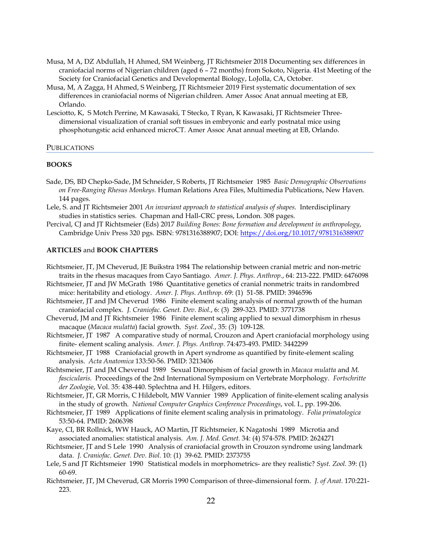- Musa, M A, DZ Abdullah, H Ahmed, SM Weinberg, JT Richtsmeier 2018 Documenting sex differences in craniofacial norms of Nigerian children (aged 6 – 72 months) from Sokoto, Nigeria. 41st Meeting of the Society for Craniofacial Genetics and Developmental Biology, LoJolla, CA, October.
- Musa, M, A Zagga, H Ahmed, S Weinberg, JT Richtsmeier 2019 First systematic documentation of sex differences in craniofacial norms of Nigerian children. Amer Assoc Anat annual meeting at EB, Orlando.
- Lesciotto, K, S Motch Perrine, M Kawasaki, T Stecko, T Ryan, K Kawasaki, JT Richtsmeier Threedimensional visualization of cranial soft tissues in embryonic and early postnatal mice using phosphotungstic acid enhanced microCT. Amer Assoc Anat annual meeting at EB, Orlando.

## PUBLICATIONS

## **BOOKS**

- Sade, DS, BD Chepko-Sade, JM Schneider, S Roberts, JT Richtsmeier 1985 *Basic Demographic Observations on Free-Ranging Rhesus Monkeys.* Human Relations Area Files, Multimedia Publications, New Haven. 144 pages.
- Lele, S. and JT Richtsmeier 2001 *An invariant approach to statistical analysis of shapes*. Interdisciplinary studies in statistics series. Chapman and Hall-CRC press, London. 308 pages.
- Percival, CJ and JT Richtsmeier (Eds) 2017 *Building Bones: Bone formation and development in anthropology*, Cambridge Univ Press 320 pgs. ISBN: 9781316388907; DOI: <https://doi.org/10.1017/9781316388907>

## **ARTICLES** and **BOOK CHAPTERS**

- Richtsmeier, JT, JM Cheverud, JE Buikstra 1984 The relationship between cranial metric and non-metric traits in the rhesus macaques from Cayo Santiago. *Amer. J. Phys. Anthrop.*, 64: 213-222. PMID: 6476098
- Richtsmeier, JT and JW McGrath 1986 Quantitative genetics of cranial nonmetric traits in randombred mice: heritability and etiology. *Amer. J. Phys. Anthrop.* 69: (1) 51-58. PMID: 3946596
- Richtsmeier, JT and JM Cheverud 1986 Finite element scaling analysis of normal growth of the human craniofacial complex. *J. Craniofac. Genet. Dev. Biol.*, 6: (3) 289-323. PMID: 3771738
- Cheverud, JM and JT Richtsmeier 1986 Finite element scaling applied to sexual dimorphism in rhesus macaque (*Macaca mulatta*) facial growth. *Syst. Zool.*, 35: (3) 109-128.
- Richtsmeier, JT 1987 A comparative study of normal, Crouzon and Apert craniofacial morphology using finite- element scaling analysis. *Amer. J. Phys. Anthrop.* 74:473-493. PMID: 3442299
- Richtsmeier, JT 1988 Craniofacial growth in Apert syndrome as quantified by finite-element scaling analysis. *Acta Anatomica* 133:50-56. PMID: 3213406
- Richtsmeier, JT and JM Cheverud 1989 Sexual Dimorphism of facial growth in *Macaca mulatta* and *M. fascicularis.* Proceedings of the 2nd International Symposium on Vertebrate Morphology. *Fortschritte der Zoologi*e, Vol. 35: 438-440. Splechtna and H. Hilgers, editors.
- Richtsmeier, JT, GR Morris, C Hildebolt, MW Vannier 1989 Application of finite-element scaling analysis in the study of growth. *National Computer Graphics Conference Proceedings*, vol. I., pp. 199-206.
- Richtsmeier, JT 1989 Applications of finite element scaling analysis in primatology. *Folia primatologica* 53:50-64. PMID: 2606398
- Kaye, CI, BR Rollnick, WW Hauck, AO Martin, JT Richtsmeier, K Nagatoshi 1989 Microtia and associated anomalies: statistical analysis. *Am. J. Med. Genet.* 34: (4) 574-578. PMID: 2624271
- Richtsmeier, JT and S Lele 1990 Analysis of craniofacial growth in Crouzon syndrome using landmark data. *J. Craniofac. Genet. Dev. Biol.* 10: (1) 39-62. PMID: 2373755
- Lele, S and JT Richtsmeier 1990 Statistical models in morphometrics- are they realistic? *Syst. Zool.* 39: (1) 60-69.
- Richtsmeier, JT, JM Cheverud, GR Morris 1990 Comparison of three-dimensional form. *J. of Anat.* 170:221- 223.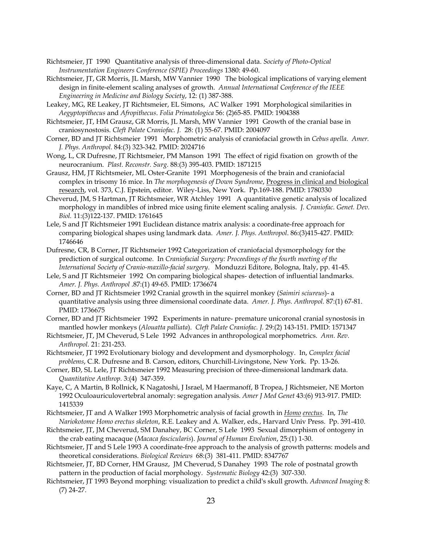- Richtsmeier, JT 1990 Quantitative analysis of three-dimensional data. *Society of Photo-Optical Instrumentation Engineers Conference (SPIE) Proceedings* 1380: 49-60.
- Richtsmeier, JT, GR Morris, JL Marsh, MW Vannier 1990 The biological implications of varying element design in finite-element scaling analyses of growth. *Annual International Conference of the IEEE Engineering in Medicine and Biology Society*, 12: (1) 387-388.
- Leakey, MG, RE Leakey, JT Richtsmeier, EL Simons, AC Walker 1991 Morphological similarities in *Aegyptopithecus* and *Afropithecus*. *Folia Primatologica* 56: (2)65-85. PMID: 1904388
- Richtsmeier, JT, HM Grausz, GR Morris, JL Marsh, MW Vannier 1991 Growth of the cranial base in craniosynostosis. *Cleft Palate Craniofac. J.* 28: (1) 55-67. PMID: 2004097
- Corner, BD and JT Richtsmeier 1991 Morphometric analysis of craniofacial growth in *Cebus apella*. *Amer. J. Phys. Anthropol.* 84:(3) 323-342. PMID: 2024716
- Wong, L, CR Dufresne, JT Richtsmeier, PM Manson 1991 The effect of rigid fixation on growth of the neurocranium. *Plast. Reconstr. Surg.* 88:(3) 395-403. PMID: 1871215
- Grausz, HM, JT Richtsmeier, ML Oster-Granite 1991 Morphogenesis of the brain and craniofacial complex in trisomy 16 mice. In *The morphogenesis of Down Syndrome*, Progress in clinical and biological research, vol. 373, C.J. Epstein, editor. Wiley-Liss, New York. Pp.169-188. PMID: 1780330
- Cheverud, JM, S Hartman, JT Richtsmeier, WR Atchley 1991 A quantitative genetic analysis of localized morphology in mandibles of inbred mice using finite element scaling analysis. *J. Craniofac. Genet. Dev. Biol.* 11:(3)122-137. PMID: 1761645
- Lele, S and JT Richtsmeier 1991 Euclidean distance matrix analysis: a coordinate-free approach for comparing biological shapes using landmark data. *Amer. J. Phys. Anthropol*. 86:(3)415-427. PMID: 1746646
- Dufresne, CR, B Corner, JT Richtsmeier 1992 Categorization of craniofacial dysmorphology for the prediction of surgical outcome. In *Craniofacial Surgery: Proceedings of the fourth meeting of the International Society of Cranio-maxillo-facial surgery*. Monduzzi Editore, Bologna, Italy, pp. 41-45.
- Lele, S and JT Richtsmeier 1992 On comparing biological shapes- detection of influential landmarks. *Amer. J. Phys. Anthropol* .87:(1) 49-65. PMID: 1736674
- Corner, BD and JT Richtsmeier 1992 Cranial growth in the squirrel monkey (*Saimiri sciureus*)- a quantitative analysis using three dimensional coordinate data. *Amer. J. Phys. Anthropol.* 87:(1) 67-81. PMID: 1736675
- Corner, BD and JT Richtsmeier 1992 Experiments in nature- premature unicoronal cranial synostosis in mantled howler monkeys (*Alouatta palliata*). *Cleft Palate Craniofac. J.* 29:(2) 143-151. PMID: 1571347
- Richtsmeier, JT, JM Cheverud, S Lele 1992 Advances in anthropological morphometrics. *Ann. Rev. Anthropol.* 21: 231-253.
- Richtsmeier, JT 1992 Evolutionary biology and development and dysmorphology. In, *Complex facial problems*, C.R. Dufresne and B. Carson, editors, Churchill-Livingstone, New York. Pp. 13-26.
- Corner, BD, SL Lele, JT Richtsmeier 1992 Measuring precision of three-dimensional landmark data. *Quantitative Anthrop.* 3:(4) 347-359.
- Kaye, C, A Martin, B Rollnick, K Nagatoshi, J Israel, M Haermanoff, B Tropea, J Richtsmeier, NE Morton 1992 Oculoauriculovertebral anomaly: segregation analysis. *Amer J Med Genet* 43:(6) 913-917. PMID: 1415339
- Richtsmeier, JT and A Walker 1993 Morphometric analysis of facial growth in *Homo erectus*. In, *The Nariokotome Homo erectus skeleton*, R.E. Leakey and A. Walker, eds., Harvard Univ Press. Pp. 391-410.
- Richtsmeier, JT, JM Cheverud, SM Danahey, BC Corner, S Lele 1993 Sexual dimorphism of ontogeny in the crab eating macaque (*Macaca fascicularis*). *Journal of Human Evolution*, 25:(1) 1-30.
- Richtsmeier, JT and S Lele 1993 A coordinate-free approach to the analysis of growth patterns: models and theoretical considerations. *Biological Reviews* 68:(3) 381-411. PMID: 8347767
- Richtsmeier, JT, BD Corner, HM Grausz, JM Cheverud, S Danahey 1993 The role of postnatal growth pattern in the production of facial morphology. *Systematic Biology* 42:(3) 307-330.
- Richtsmeier, JT 1993 Beyond morphing: visualization to predict a child's skull growth. *Advanced Imaging* 8: (7) 24-27.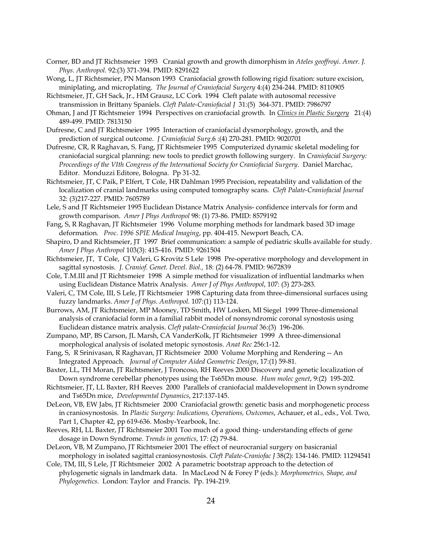- Corner, BD and JT Richtsmeier 1993 Cranial growth and growth dimorphism in *Ateles geoffroyi*. *Amer. J. Phys. Anthropol.* 92:(3) 371-394. PMID: 8291622
- Wong, L, JT Richtsmeier, PN Manson 1993 Craniofacial growth following rigid fixation: suture excision, miniplating, and microplating. *The Journal of Craniofacial Surgery* 4:(4) 234-244. PMID: 8110905
- Richtsmeier, JT, GH Sack, Jr., HM Grausz, LC Cork 1994 Cleft palate with autosomal recessive transmission in Brittany Spaniels. *Cleft Palate-Craniofacial J* 31:(5) 364-371. PMID: 7986797
- Ohman, J and JT Richtsmeier 1994 Perspectives on craniofacial growth. In *Clinics in Plastic Surgery* 21:(4) 489-499. PMID: 7813150
- Dufresne, C and JT Richtsmeier 1995 Interaction of craniofacial dysmorphology, growth, and the prediction of surgical outcome. *J Craniofacial Surg.*6 :(4) 270-281. PMID: 9020701
- Dufresne, CR, R Raghavan, S. Fang, JT Richtsmeier 1995 Computerized dynamic skeletal modeling for craniofacial surgical planning: new tools to predict growth following surgery. In *Craniofacial Surgery: Proceedings of the VIth Congress of the International Society for Craniofacial Surgery*. Daniel Marchac, Editor. Monduzzi Editore, Bologna. Pp 31-32.
- Richtsmeier, JT, C Paik, P Elfert, T Cole, HR Dahlman 1995 Precision, repeatability and validation of the localization of cranial landmarks using computed tomography scans. *Cleft Palate-Craniofacial Journal*  32: (3)217-227. PMID: 7605789
- Lele, S and JT Richtsmeier 1995 Euclidean Distance Matrix Analysis- confidence intervals for form and growth comparison. *Amer J Phys Anthropol* 98: (1) 73-86. PMID: 8579192
- Fang, S, R Raghavan, JT Richtsmeier 1996 Volume morphing methods for landmark based 3D image deformation. *Proc. 1996 SPIE Medical Imaging*, pp. 404-415. Newport Beach, CA.
- Shapiro, D and Richtsmeier, JT 1997 Brief communication: a sample of pediatric skulls available for study. *Amer J Phys Anthropol* 103(3): 415-416. PMID: 9261504
- Richtsmeier, JT, T Cole, CJ Valeri, G Krovitz S Lele 1998 Pre-operative morphology and development in sagittal synostosis. *J. Craniof. Genet. Devel. Biol.,* 18: (2) 64-78. PMID: 9672839
- Cole, T.M.III and JT Richtsmeier 1998 A simple method for visualization of influential landmarks when using Euclidean Distance Matrix Analysis. *Amer J of Phys Anthropol*, 107: (3) 273-283.
- Valeri, C, TM Cole, III, S Lele, JT Richtsmeier 1998 Capturing data from three-dimensional surfaces using fuzzy landmarks. *Amer J of Phys. Anthropol.* 107:(1) 113-124.
- Burrows, AM, JT Richtsmeier, MP Mooney, TD Smith, HW Losken, MI Siegel 1999 Three-dimensional analysis of craniofacial form in a familial rabbit model of nonsyndromic coronal synostosis using Euclidean distance matrix analysis. *Cleft palate-Craniofacial Journal* 36:(3) 196-206.
- Zumpano, MP, BS Carson, JL Marsh, CA VanderKolk, JT Richtsmeier 1999 A three-dimensional morphological analysis of isolated metopic synostosis. *Anat Rec* 256:1-12.
- Fang, S, R Srinivasan, R Raghavan, JT Richtsmeier 2000 Volume Morphing and Rendering -- An Integrated Approach. *Journal of Computer Aided Geometric Design*, 17:(1) 59-81.
- Baxter, LL, TH Moran, JT Richtsmeier, J Troncoso, RH Reeves 2000 Discovery and genetic localization of Down syndrome cerebellar phenotypes using the Ts65Dn mouse. *Hum molec genet*, 9:(2) 195-202.
- Richtsmeier, JT, LL Baxter, RH Reeves 2000 Parallels of craniofacial maldevelopment in Down syndrome and Ts65Dn mice, *Developmental Dynamics*, 217:137-145.
- DeLeon, VB, EW Jabs, JT Richtsmeier 2000 Craniofacial growth: genetic basis and morphogenetic process in craniosynostosis. In *Plastic Surgery: Indications, Operations, Outcomes*, Achauer, et al., eds., Vol. Two, Part 1, Chapter 42, pp 619-636. Mosby-Yearbook, Inc.
- Reeves, RH, LL Baxter, JT Richtsmeier 2001 Too much of a good thing- understanding effects of gene dosage in Down Syndrome. *Trends in genetics*, 17: (2) 79-84.
- DeLeon, VB, M Zumpano, JT Richtsmeier 2001 The effect of neurocranial surgery on basicranial morphology in isolated sagittal craniosynostosis. *Cleft Palate-Craniofac J* 38(2): 134-146. PMID: 11294541
- Cole, TM, III, S Lele, JT Richtsmeier 2002 A parametric bootstrap approach to the detection of phylogenetic signals in landmark data. In MacLeod N & Forey P (eds.): *Morphometrics, Shape, and Phylogenetics.* London: Taylor and Francis. Pp. 194-219.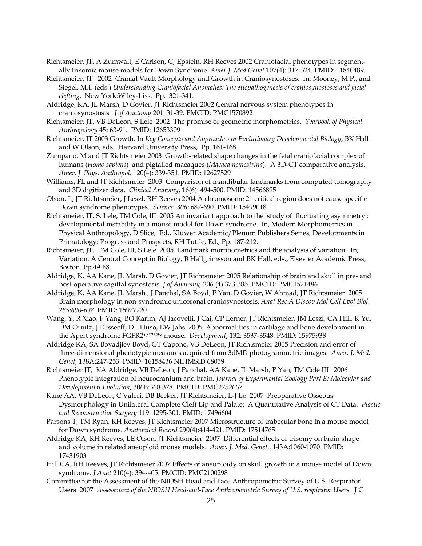- Richtsmeier, JT, A Zumwalt, E Carlson, CJ Epstein, RH Reeves 2002 Craniofacial phenotypes in segmentally trisomic mouse models for Down Syndrome. *Amer J Med Genet* 107(4): 317-324*.* PMID: 11840489.
- Richtsmeier, JT 2002 Cranial Vault Morphology and Growth in Craniosynostoses. In: Mooney, M.P., and Siegel, M.I. (eds.) *Understanding Craniofacial Anomalies: The etiopathogenesis of craniosynostoses and facial clefting*. New York:Wiley-Liss. Pp. 321-341.
- Aldridge, KA, JL Marsh, D Govier, JT Richtsmeier 2002 Central nervous system phenotypes in craniosynostosis*. J of Anatomy* 201: 31-39. PMCID: PMC1570892
- Richtsmeier, JT, VB DeLeon, S Lele 2002 The promise of geometric morphometrics. *Yearbook of Physical Anthropology* 45: 63-91. PMID: 12653309
- Richtsmeier, JT 2003 Growth. In *Key Concepts and Approaches in Evolutionary Developmental Biology*, BK Hall and W Olson, eds. Harvard University Press, Pp. 161-168.
- Zumpano, M and JT Richtsmeier 2003 Growth-related shape changes in the fetal craniofacial complex of humans (*Homo sapiens*) and pigtailed macaques (*Macaca nemestrina*): A 3D-CT comparative analysis. *Amer. J. Phys. Anthropol,* 120(4): 339-351*.* PMID: 12627529
- Williams, FL and JT Richtsmeier 2003 Comparison of mandibular landmarks from computed tomography and 3D digitizer data. *Clinical Anatomy*, 16(6): 494-500. PMID: 14566895
- Olson, L, JT Richtsmeier, J Leszl, RH Reeves 2004 A chromosome 21 critical region does not cause specific Down syndrome phenotypes. *Science, 306:* 687-690*.* PMID: 15499018
- Richtsmeier, JT, S. Lele, TM Cole, III 2005 An invariant approach to the study of fluctuating asymmetry : developmental instability in a mouse model for Down syndrome. In, Modern Morphometrics in Physical Anthropology, D Slice, Ed., Kluwer Academic/Plenum Publishers Series, Developments in Primatology: Progress and Prospects, RH Tuttle, Ed., Pp. 187-212.
- Richtsmeier, JT, TM Cole, III, S Lele 2005 Landmark morphometrics and the analysis of variation. In, Variation: A Central Concept in Biology, B Hallgrimsson and BK Hall, eds., Elsevier Academic Press, Boston. Pp 49-68.
- Aldridge, K, AA Kane, JL Marsh, D Govier, JT Richtsmeier 2005 Relationship of brain and skull in pre- and post operative sagittal synostosis. *J of Anatomy,* 206 (4) 373-385*.* PMCID: PMC1571486
- Aldridge, K, AA Kane, JL Marsh , J Panchal, SA Boyd, P Yan, D Govier, W Ahmad, JT Richtsmeier 2005 Brain morphology in non-syndromic unicoronal craniosynostosis. *Anat Rec A Discov Mol Cell Evol Biol 285:690-698*. PMID: 15977220
- Wang, Y, R Xiao, F Yang, BO Karim, AJ Iacovelli, J Cai, CP Lerner, JT Richtsmeier, JM Leszl, CA Hill, K Yu, DM Ornitz, J Elisseeff, DL Huso, EW Jabs 2005 Abnormalities in cartilage and bone development in the Apert syndrome FGFR2+/S252W mouse. *Development*, 132: 3537-3548. PMID: 15975938
- Aldridge KA, SA Boyadjiev Boyd, GT Capone, VB DeLeon, JT Richtsmeier 2005 Precision and error of three-dimensional phenotypic measures acquired from 3dMD photogrammetric images. *Amer. J. Med. Genet*, 138A:247-253. PMID: 16158436 NIHMSID 68059
- Richtsmeier JT, KA Aldridge, VB DeLeon, J Panchal, AA Kane, JL Marsh, P Yan, TM Cole III 2006 Phenotypic integration of neurocranium and brain. *Journal of Experimental Zoology Part B: Molecular and Developmental Evolution*, 306B:360-378. PMCID: PMC2752667
- Kane AA, VB DeLeon, C Valeri, DB Becker, JT Richtsmeier, L-J Lo 2007 Preoperative Osseous Dysmorphology in Unilateral Complete Cleft Lip and Palate: A Quantitative Analysis of CT Data. *Plastic and Reconstructive Surgery* 119: 1295-301. PMID: 17496604
- Parsons T, TM Ryan, RH Reeves, JT Richtsmeier 2007 Microstructure of trabecular bone in a mouse model for Down syndrome. *Anatomical Record* 290(4):414-421. PMID: 17514765
- Aldridge KA, RH Reeves, LE Olson, JT Richtsmeier 2007 Differential effects of trisomy on brain shape and volume in related aneuploid mouse models. *Amer. J. Med. Genet*., 143A:1060-1070. PMID: 17431903
- Hill CA, RH Reeves, JT Richtsmeier 2007 Effects of aneuploidy on skull growth in a mouse model of Down syndrome. *J Anat* 210(4): 394-405. PMCID: PMC2100298
- Committee for the Assessment of the NIOSH Head and Face Anthropometric Survey of U.S. Respirator Users 2007 *Assessment of the NIOSH Head-and-Face Anthropometric Survey of U.S. respirator Users*. J C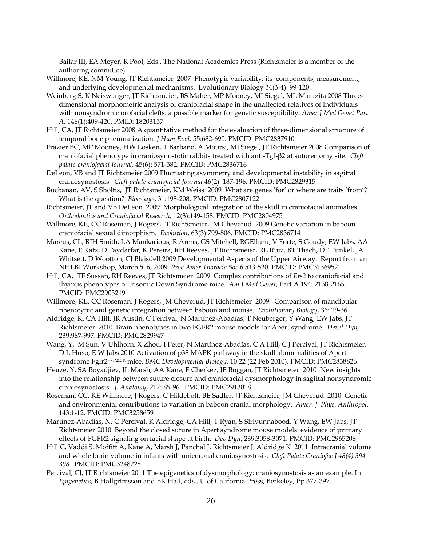Bailar III, EA Meyer, R Pool, Eds., The National Academies Press (Richtsmeier is a member of the authoring committee).

- Willmore, KE, NM Young, JT Richtsmeier 2007 Phenotypic variability: its components, measurement, and underlying developmental mechanisms. Evolutionary Biology 34(3-4): 99-120.
- Weinberg S, K Neiswanger, JT Richtsmeier, BS Maher, MP Mooney, MI Siegel, ML Marazita 2008 Threedimensional morphometric analysis of craniofacial shape in the unaffected relatives of individuals with nonsyndromic orofacial clefts: a possible marker for genetic susceptibility. *Amer J Med Genet Part A,* 146(1):409-420. PMID: 18203157
- Hill, CA, JT Richtsmeier 2008 A quantitative method for the evaluation of three-dimensional structure of temporal bone pneumatization. *J Hum Evol,* 55:682-690. PMCID: PMC2837910
- Frazier BC, MP Mooney, HW Losken, T Barbano, A Moursi, MI Siegel, JT Richtsmeier 2008 Comparison of craniofacial phenotype in craniosynostotic rabbits treated with anti-Tgf-β2 at suturectomy site. *Cleft palate-craniofacial Journal*, 45(6): 571-582. PMCID: PMC2836716
- DeLeon, VB and JT Richtsmeier 2009 Fluctuating asymmetry and developmental instability in sagittal craniosynostosis. *Cleft palate-craniofacial Journal* 46(2): 187-196. PMCID: PMC2829315
- Buchanan, AV, S Sholtis, JT Richtsmeier, KM Weiss 2009 What are genes 'for' or where are traits 'from'? What is the question? *Bioessays*, 31:198-208. PMCID: PMC2807122
- Richtsmeier, JT and VB DeLeon 2009 Morphological Integration of the skull in craniofacial anomalies. *Orthodontics and Craniofacial Research*, 12(3):149-158. PMCID: PMC2804975
- Willmore, KE, CC Roseman, J Rogers, JT Richtsmeier, JM Cheverud 2009 Genetic variation in baboon craniofacial sexual dimorphism. *Evolution*, 63(3):799-806. PMCID: PMC2836714
- Marcus, CL, RJH Smith, LA Mankarious, R Arens, GS Mitchell, RGElluru, V Forte, S Goudy, EW Jabs, AA Kane, E Katz, D Paydarfar, K Pereira, RH Reeves, JT Richtsmeier, RL Ruiz, BT Thach, DE Tunkel, JA Whitsett, D Wootton, CJ Blaisdell 2009 Developmental Aspects of the Upper Airway. Report from an NHLBI Workshop, March 5–6, 2009. *Proc Amer Thoracic Soc* 6:513-520. PMCID: PMC3136952
- Hill, CA, TE Sussan, RH Reeves, JT Richtsmeier 2009 Complex contributions of *Ets2* to craniofacial and thymus phenotypes of trisomic Down Syndrome mice. *Am J Med Genet*, Part A 194: 2158-2165. PMCID: PMC2903219
- Willmore, KE, CC Roseman, J Rogers, JM Cheverud, JT Richtsmeier 2009 Comparison of mandibular phenotypic and genetic integration between baboon and mouse. *Evolutionary Biology*, 36: 19-36.
- Aldridge, K, CA Hill, JR Austin, C Percival, N Martínez-Abadías, T Neuberger, Y Wang, EW Jabs, JT Richtsmeier 2010 Brain phenotypes in two FGFR2 mouse models for Apert syndrome. *Devel Dyn,* 239:987-997. PMCID: PMC2829947
- Wang, Y, M Sun, V Uhlhorn, X Zhou, I Peter, N Martínez-Abadías, C A Hill, C J Percival, JT Richtsmeier, D L Huso, E W Jabs 2010 Activation of p38 MAPK pathway in the skull abnormalities of Apert syndrome Fgfr2+/P253R mice. *BMC Developmental Biology*, 10:22 (22 Feb 2010). PMCID: PMC2838826
- Heuzé, Y, SA Boyadjiev, JL Marsh, AA Kane, E Cherkez, JE Boggan, JT Richtsmeier 2010 New insights into the relationship between suture closure and craniofacial dysmorphology in sagittal nonsyndromic craniosynostosis*. J. Anatomy*, 217: 85-96. PMCID: PMC2913018
- Roseman, CC, KE Willmore, J Rogers, C Hildebolt, BE Sadler, JT Richtsmeier, JM Cheverud 2010 Genetic and environmental contributions to variation in baboon cranial morphology. *Amer. J. Phys. Anthropol.* 143:1-12. PMCID: PMC3258659
- Martínez-Abadías, N, C Percival, K Aldridge, CA Hill, T Ryan, S Sirivunnabood, Y Wang, EW Jabs, JT Richtsmeier 2010 Beyond the closed suture in Apert syndrome mouse models: evidence of primary effects of FGFR2 signaling on facial shape at birth. *Dev Dyn*, 239:3058-3071. PMCID: PMC2965208
- Hill C, Vaddi S, Moffitt A, Kane A, Marsh J, Panchal J, Richtsmeier J, Aldridge K 2011 Intracranial volume and whole brain volume in infants with unicoronal craniosynostosis. *Cleft Palate Craniofac J 48(4) 394- 398.* PMCID: PMC3248228
- Percival, CJ, JT Richtsmeier 2011 The epigenetics of dysmorphology: craniosynostosis as an example. In *Epigenetics*, B Hallgrímsson and BK Hall, eds., U of California Press, Berkeley, Pp 377-397.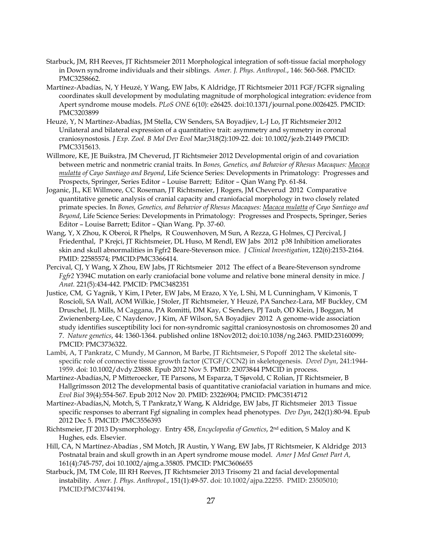- Starbuck, JM, RH Reeves, JT Richtsmeier 2011 Morphological integration of soft-tissue facial morphology in Down syndrome individuals and their siblings. *Amer. J. Phys. Anthropol.*, 146: 560-568. PMCID: PMC3258662.
- Martínez-Abadías, N, Y Heuzé, Y Wang, EW Jabs, K Aldridge, JT Richtsmeier 2011 FGF/FGFR signaling coordinates skull development by modulating magnitude of morphological integration: evidence from Apert syndrome mouse models. *PLoS ONE* 6(10): e26425. doi:10.1371/journal.pone.0026425. PMCID: PMC3203899
- Heuzé, Y, N Martínez-Abadías, JM Stella, CW Senders, SA Boyadjiev, L-J Lo, JT Richtsmeier 2012 Unilateral and bilateral expression of a quantitative trait: asymmetry and symmetry in coronal craniosynostosis. *J Exp. Zool. B Mol Dev Evol* Mar;318(2):109-22. doi: 10.1002/jezb.21449 PMCID: PMC3315613.
- Willmore, KE, JE Buikstra, JM Cheverud, JT Richtsmeier 2012 Developmental origin of and covariation between metric and nonmetric cranial traits. In *Bones, Genetics, and Behavior of Rhesus Macaques: Macaca mulatta of Cayo Santiago and Beyond*, Life Science Series: Developments in Primatology: Progresses and Prospects, Springer, Series Editor – Louise Barrett; Editor – Qian Wang Pp. 61-84.
- Joganic, JL, KE Willmore, CC Roseman, JT Richtsmeier, J Rogers, JM Cheverud 2012 Comparative quantitative genetic analysis of cranial capacity and craniofacial morphology in two closely related primate species. In *Bones, Genetics, and Behavior of Rhesus Macaques: Macaca mulatta of Cayo Santiago and Beyond*, Life Science Series: Developments in Primatology: Progresses and Prospects, Springer, Series Editor – Louise Barrett; Editor – Qian Wang. Pp. 37-60.
- Wang, Y, X Zhou, K Oberoi, R Phelps, R Couwenhoven, M Sun, A Rezza, G Holmes, CJ Percival, J Friedenthal, P Krejci, JT Richtsmeier, DL Huso, M Rendl, EW Jabs 2012 p38 Inhibition ameliorates skin and skull abnormalities in Fgfr2 Beare-Stevenson mice. *J Clinical Investigation*, 122(6):2153-2164. PMID: 22585574; PMCID:PMC3366414.
- Percival, CJ, Y Wang, X Zhou, EW Jabs, JT Richtsmeier 2012 The effect of a Beare-Stevenson syndrome *Fgfr2* Y394C mutation on early craniofacial bone volume and relative bone mineral density in mice. *J Anat.* 221(5):434-442. PMCID: PMC3482351
- Justice, CM, G Yagnik, Y Kim, I Peter, EW Jabs, M Erazo, X Ye, L Shi, M L Cunningham, V Kimonis, T Roscioli, SA Wall, AOM Wilkie, J Stoler, JT Richtsmeier, Y Heuzé, PA Sanchez-Lara, MF Buckley, CM Druschel, JL Mills, M Caggana, PA Romitti, DM Kay, C Senders, PJ Taub, OD Klein, J Boggan, M Zwienenberg-Lee, C Naydenov, J Kim, AF Wilson, SA Boyadjiev 2012 A genome-wide association study identifies susceptibility loci for non-syndromic sagittal craniosynostosis on chromosomes 20 and 7. *Nature genetics*, 44: 1360-1364. published online 18Nov2012; doi:10.1038/ng.2463. PMID:23160099; PMCID: PMC3736322.
- Lambi, A, T Pankratz, C Mundy, M Gannon, M Barbe, JT Richtsmeier, S Popoff 2012 The skeletal sitespecific role of connective tissue growth factor (CTGF/CCN2) in skeletogenesis. *Devel Dyn*, 241:1944- 1959. doi: 10.1002/dvdy.23888. Epub 2012 Nov 5. PMID: 23073844 PMCID in process.
- Martínez-Abadías,N, P Mitteroecker, TE Parsons, M Esparza, T Sjøvold, C Rolian, JT Richtsmeier, B Hallgrímsson 2012 The developmental basis of quantitative craniofacial variation in humans and mice. *Evol Biol* 39(4):554-567. Epub 2012 Nov 20. PMID: 23226904; PMCID: [PMC3514712](http://www.ncbi.nlm.nih.gov/pmc/articles/PMC3514712/?tool=nihms)
- Martínez-Abadías,N, Motch, S, T Pankratz,Y Wang, K Aldridge, EW Jabs, JT Richtsmeier 2013 Tissue specific responses to aberrant Fgf signaling in complex head phenotypes. *Dev Dyn*, 242(1):80-94. Epub 2012 Dec 5. PMCID: [PMC3556393](http://www.ncbi.nlm.nih.gov/pmc/articles/PMC3556393/?tool=nihms)
- Richtsmeier, JT 2013 Dysmorphology. Entry 458, *Encyclopedia of Genetics*, 2nd edition, S Maloy and K Hughes, eds. Elsevier.
- Hill, CA, N Martínez-Abadías , SM Motch, JR Austin, Y Wang, EW Jabs, JT Richtsmeier, K Aldridge 2013 Postnatal brain and skull growth in an Apert syndrome mouse model. *Amer J Med Genet Part A,*  161(4):745-757, doi 10.1002/ajmg.a.35805. PMCID: [PMC3606655](http://www.ncbi.nlm.nih.gov/pmc/articles/PMC3606655/?tool=nihms)
- Starbuck, JM, TM Cole, III RH Reeves, JT Richtsmeier 2013 Trisomy 21 and facial developmental instability. *Amer. J. Phys. Anthropol.*, 151(1):49-57. doi: 10.1002/ajpa.22255. PMID: 23505010; PMCID:PMC3744194.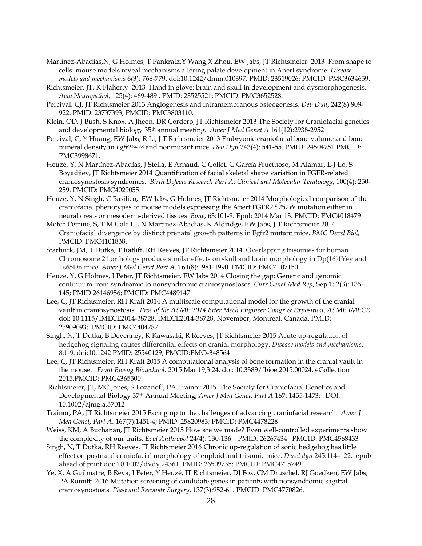- Martínez-Abadías,N, G Holmes, T Pankratz,Y Wang,X Zhou, EW Jabs, JT Richtsmeier 2013 From shape to cells: mouse models reveal mechanisms altering palate development in Apert syndrome. *Disease models and mechanisms* 6(3): 768-779. doi:10.1242/dmm.010397. PMID: 23519026; PMCID: PMC3634659.
- Richtsmeier, JT, K Flaherty 2013 Hand in glove: brain and skull in development and dysmorphogenesis. *Acta Neuropathol*, 125(4): 469-489 , PMID: 23525521; PMCID: PMC3652528.
- Percival, CJ, JT Richtsmeier 2013 Angiogenesis and intramembranous osteogenesis, *Dev Dyn*, 242(8):909- 922. PMID: 23737393, PMCID: PMC3803110.
- Klein, OD, J Bush, S Knox, A Jheon, DR Cordero, JT Richtsmeier 2013 The Society for Craniofacial genetics and developmental biology 35th annual meeting. *Amer J Med Genet A* 161(12):2938-2952.
- Percival, C, Y Huang, EW Jabs, R Li, J T Richtsmeier 2013 Embryonic craniofacial bone volume and bone mineral density in *Fgfr2P253R* and nonmutant mice. *Dev Dyn* 243(4): 541-55. PMID: 24504751 PMCID: PMC3998671.
- Heuzé, Y, N Martínez-Abadías, J Stella, E Arnaud, C Collet, G García Fructuoso, M Alamar, L-J Lo, S Boyadjiev, JT Richtsmeier 2014 Quantification of facial skeletal shape variation in FGFR-related craniosynostosis syndromes. *Birth Defects Research Part A: Clinical and Molecular Teratology*, 100(4): 250- 259. PMCID: PMC4029055.
- Heuzé, Y, N Singh, C Basilico, EW Jabs, G Holmes, JT Richtsmeier 2014 Morphological comparison of the craniofacial phenotypes of mouse models expressing the Apert FGFR2 S252W mutation either in neural crest- or mesoderm-derived tissues. *Bone,* 63:101-9. Epub 2014 Mar 13. PMCID: [PMC4018479](http://www.ncbi.nlm.nih.gov/pmc/articles/PMC4018479/?tool=nihms%0A%20%20%20%20%20%20%20%20%20%20%20%20%20%20%20%20%20%20%20%20)
- Motch Perrine, S, T M Cole III, N Martínez-Abadías, K Aldridge, EW Jabs, J T Richtsmeier 2014 Craniofacial divergence by distinct prenatal growth patterns in Fgfr2 mutant mice. *BMC Devel Biol,* PMCID: PMC4101838.
- Starbuck, JM, T Dutka, T Ratliff, RH Reeves, JT Richtsmeier 2014 Overlapping trisomies for human Chromosome 21 orthologs produce similar effects on skull and brain morphology in Dp(16)1Yey and Ts65Dn mice. *Amer J Med Genet Part A,* 164(8):1981-1990. PMCID: PMC4107150.
- Heuzé, Y, G Holmes, I Peter, JT Richtsmeier, EW Jabs 2014 Closing the gap: Genetic and genomic continuum from syndromic to nonsyndromic craniosynostoses. *Curr Genet Med Rep*, Sep 1; 2(3): 135– 145; PMID 26146956; PMCID: PMC4489147.
- Lee, C, JT Richtsmeier, RH Kraft 2014 A multiscale computational model for the growth of the cranial vault in craniosynostosis. *Proc of the ASME 2014 Inter Mech Engineer Congr & Exposition, ASME IMECE.* doi: 10.1115/IMECE2014-38728. IMECE2014-38728, November, Montreal, Canada. PMID: 25909093; PMCID: [PMC4404787](http://www.ncbi.nlm.nih.gov/pmc/articles/PMC4404787/?tool=nihms%0A%20%20%20%20%20%20%20%20%20%20%20%20%20%20%20%20%20%20%20%20)
- Singh, N, T Dutka, B Devenney, K Kawasaki, R Reeves, JT Richtsmeier 2015 Acute up-regulation of hedgehog signaling causes differential effects on cranial morphology. *Disease models and mechanisms*, 8:1-9. doi:10.1242 PMID: 25540129; PMCID:PMC4348564
- Lee, C, JT Richtsmeier, RH Kraft 2015 A computational analysis of bone formation in the cranial vault in the mouse. *Front Bioeng Biotechnol*. 2015 Mar 19;3:24. doi: 10.3389/fbioe.2015.00024. eCollection 2015.PMCID: PMC4365500
- Richtsmeier, JT, MC Jones, S Lozanoff, PA Trainor 2015 The Society for Craniofacial Genetics and Developmental Biology 37th Annual Meeting, *Amer J Med Genet, Part A* 167: 1455-1473; DOI: 10.1002/ajmg.a.37012
- Trainor, PA, JT Richtsmeier 2015 Facing up to the challenges of advancing craniofacial research. *Amer J Med Genet, Part A*. 167(7):1451-4; PMID: 25820983; PMCID: [PMC4478228](http://www.ncbi.nlm.nih.gov/pmc/articles/PMC4478228)
- Weiss, KM, A Buchanan, JT Richtsmeier 2015 How are we made? Even well-controlled experiments show the complexity of our traits. *Evol Anthropol* 24(4): 130-136. PMID: 26267434 PMCID: PMC4568433
- Singh, N, T Dutka, RH Reeves, JT Richtsmeier 2016 Chronic up-regulation of sonic hedgehog has little effect on postnatal craniofacial morphology of euploid and trisomic mice. *Devel dyn* 245:114–122. epub ahead of print doi: 10.1002/dvdy.24361. PMID: 26509735; PMCID: PMC4715749.
- Ye, X, A Guilmatre, B Reva, I Peter, Y Heuzé, JT Richtsmeier, DJ Fox, CM Druschel, RJ Goedken, EW Jabs, PA Romitti 2016 Mutation screening of candidate genes in patients with nonsyndromic sagittal craniosynostosis. *Plast and Reconstr Surgery*, 137(3):952-61. PMCID: PMC4770826.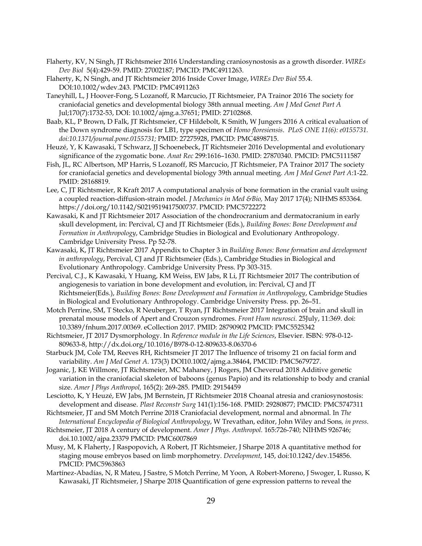- Flaherty, KV, N Singh, JT Richtsmeier 2016 Understanding craniosynostosis as a growth disorder. *WIREs Dev Biol* 5(4):429-59. PMID: 27002187; PMCID: PMC4911263.
- Flaherty, K, N Singh, and JT Richtsmeier 2016 Inside Cover Image, *WIREs Dev Biol* 55.4. DOI:10.1002/wdev.243. PMCID: PMC4911263
- Taneyhill, L, J Hoover-Fong, S Lozanoff, R Marcucio, JT Richtsmeier, PA Trainor 2016 The society for craniofacial genetics and developmental biology 38th annual meeting. *Am J Med Genet Part A* Jul;170(7):1732-53, DOI: 10.1002/ajmg.a.37651; PMID: 27102868.
- Baab, KL, P Brown, D Falk, JT Richtsmeier, CF Hildebolt, K Smith, W Jungers 2016 A critical evaluation of the Down syndrome diagnosis for LB1, type specimen of *Homo floresiensis*. *PLoS ONE 11(6): e0155731. doi:10.1371/journal.pone.0155731;* PMID: 27275928, PMCID: PMC4898715.
- Heuzé, Y, K Kawasaki, T Schwarz, JJ Schoenebeck, JT Richtsmeier 2016 Developmental and evolutionary significance of the zygomatic bone. *Anat Rec* 299:1616–1630. PMID: 27870340. PMCID: PMC5111587
- Fish, JL, RC Albertson, MP Harris, S Lozanoff, RS Marcucio, JT Richtsmeier, PA Trainor 2017 The society for craniofacial genetics and developmental biology 39th annual meeting. *Am J Med Genet Part A*:1-22. PMID: 28168819.
- Lee, C, JT Richtsmeier, R Kraft 2017 A computational analysis of bone formation in the cranial vault using a coupled reaction-diffusion-strain model. *J Mechanics in Med &Bio,* May 2017 17(4); NIHMS 853364. https://doi.org/10.1142/S0219519417500737. PMCID: PMC5722272
- Kawasaki, K and JT Richtsmeier 2017 Association of the chondrocranium and dermatocranium in early skull development, in: Percival, CJ and JT Richtsmeier (Eds.), *Building Bones: Bone Development and Formation in Anthropology*, Cambridge Studies in Biological and Evolutionary Anthropology. Cambridge University Press. Pp 52-78.
- Kawasaki, K, JT Richtsmeier 2017 Appendix to Chapter 3 in *Building Bones: Bone formation and development in anthropology*, Percival, CJ and JT Richtsmeier (Eds.), Cambridge Studies in Biological and Evolutionary Anthropology. Cambridge University Press. Pp 303-315.
- Percival, C.J., K Kawasaki, Y Huang, KM Weiss, EW Jabs, R Li, JT Richtsmeier 2017 The contribution of angiogenesis to variation in bone development and evolution, in: Percival, CJ and JT Richtsmeier(Eds.), *Building Bones: Bone Development and Formation in Anthropology*, Cambridge Studies in Biological and Evolutionary Anthropology. Cambridge University Press. pp. 26–51.
- Motch Perrine, SM, T Stecko, R Neuberger, T Ryan, JT Richtsmeier 2017 Integration of brain and skull in prenatal mouse models of Apert and Crouzon syndromes. *Front Hum neurosci.* 25July, 11:369. doi: 10.3389/fnhum.2017.00369. eCollection 2017. PMID: 28790902 PMCID: PMC5525342
- Richtsmeier, JT 2017 Dysmorphology. In *Reference module in the Life Sciences*, Elsevier. ISBN: 978-0-12- 809633-8, http://dx.doi.org/10.1016/B978-0-12-809633-8.06370-6
- Starbuck JM, Cole TM, Reeves RH, Richtsmeier JT 2017 The Influence of trisomy 21 on facial form and variability. *Am J Med Genet A*. 173(3) DOI10.1002/ajmg.a.38464, PMCID: PMC5679727.
- Joganic, J, KE Willmore, JT Richtsmeier, MC Mahaney, J Rogers, JM Cheverud 2018 Additive genetic variation in the craniofacial skeleton of baboons (genus Papio) and its relationship to body and cranial size. *Amer J Phys Anthropol,* 165(2): 269-285. PMID: 29154459
- Lesciotto, K, Y Heuzé, EW Jabs, JM Bernstein, JT Richtsmeier 2018 Choanal atresia and craniosynostosis: development and disease. *Plast Reconstr Surg* 141(1):156-168. PMID: 29280877; PMCID: PMC5747311
- Richtsmeier, JT and SM Motch Perrine 2018 Craniofacial development, normal and abnormal. In *The International Encyclopedia of Biological Anthropology*, W Trevathan, editor, John Wiley and Sons*, in press*.
- Richtsmeier, JT 2018 A century of development. *Amer J Phys. Anthropol.* 165:726-740; NIHMS 926746; doi.10.1002/ajpa.23379 PMCID: PMC6007869
- Musy, M, K Flaherty, J Raspopovich, A Robert, JT Richtsmeier, J Sharpe 2018 A quantitative method for staging mouse embryos based on limb morphometry. *Development*, 145, doi:10.1242/dev.154856. PMCID: PMC5963863
- Martínez-Abadías, N, R Mateu, J Sastre, S Motch Perrine, M Yoon, A Robert-Moreno, J Swoger, L Russo, K Kawasaki, JT Richtsmeier, J Sharpe 2018 Quantification of gene expression patterns to reveal the